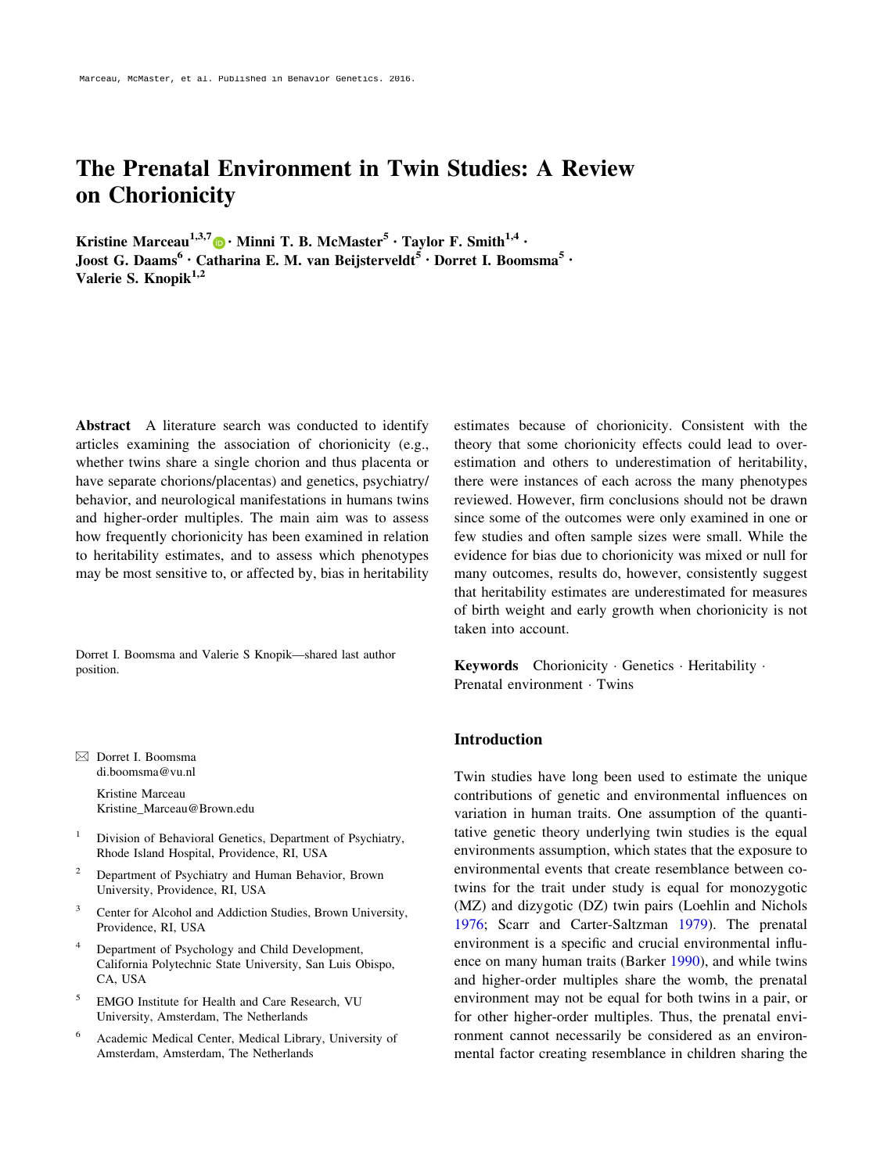# The Prenatal Environment in Twin Studies: A Review on Chorionicity

Kristine Marceau<sup>1,3,7</sup> • Minni T. B. McMaster<sup>5</sup> • Taylor F. Smith<sup>1,4</sup> • Joost G. Daams<sup>6</sup> · Catharina E. M. van Beijsterveldt<sup>5</sup> · Dorret I. Boomsma<sup>5</sup> · Valerie S. Knopik $^{1,2}$ 

Abstract A literature search was conducted to identify articles examining the association of chorionicity (e.g., whether twins share a single chorion and thus placenta or have separate chorions/placentas) and genetics, psychiatry/ behavior, and neurological manifestations in humans twins and higher-order multiples. The main aim was to assess how frequently chorionicity has been examined in relation to heritability estimates, and to assess which phenotypes may be most sensitive to, or affected by, bias in heritability

Dorret I. Boomsma and Valerie S Knopik—shared last author position.

& Dorret I. Boomsma di.boomsma@vu.nl

> Kristine Marceau Kristine\_Marceau@Brown.edu

- <sup>1</sup> Division of Behavioral Genetics, Department of Psychiatry, Rhode Island Hospital, Providence, RI, USA
- <sup>2</sup> Department of Psychiatry and Human Behavior, Brown University, Providence, RI, USA
- <sup>3</sup> Center for Alcohol and Addiction Studies, Brown University, Providence, RI, USA
- Department of Psychology and Child Development, California Polytechnic State University, San Luis Obispo, CA, USA
- <sup>5</sup> EMGO Institute for Health and Care Research, VU University, Amsterdam, The Netherlands
- <sup>6</sup> Academic Medical Center, Medical Library, University of Amsterdam, Amsterdam, The Netherlands

estimates because of chorionicity. Consistent with the theory that some chorionicity effects could lead to overestimation and others to underestimation of heritability, there were instances of each across the many phenotypes reviewed. However, firm conclusions should not be drawn since some of the outcomes were only examined in one or few studies and often sample sizes were small. While the evidence for bias due to chorionicity was mixed or null for many outcomes, results do, however, consistently suggest that heritability estimates are underestimated for measures of birth weight and early growth when chorionicity is not taken into account.

Keywords Chorionicity Genetics Heritability . Prenatal environment · Twins

# Introduction

Twin studies have long been used to estimate the unique contributions of genetic and environmental influences on variation in human traits. One assumption of the quantitative genetic theory underlying twin studies is the equal environments assumption, which states that the exposure to environmental events that create resemblance between cotwins for the trait under study is equal for monozygotic (MZ) and dizygotic (DZ) twin pairs (Loehlin and Nichols [1976](#page-16-0); Scarr and Carter-Saltzman [1979](#page-16-0)). The prenatal environment is a specific and crucial environmental influence on many human traits (Barker [1990\)](#page-15-0), and while twins and higher-order multiples share the womb, the prenatal environment may not be equal for both twins in a pair, or for other higher-order multiples. Thus, the prenatal environment cannot necessarily be considered as an environmental factor creating resemblance in children sharing the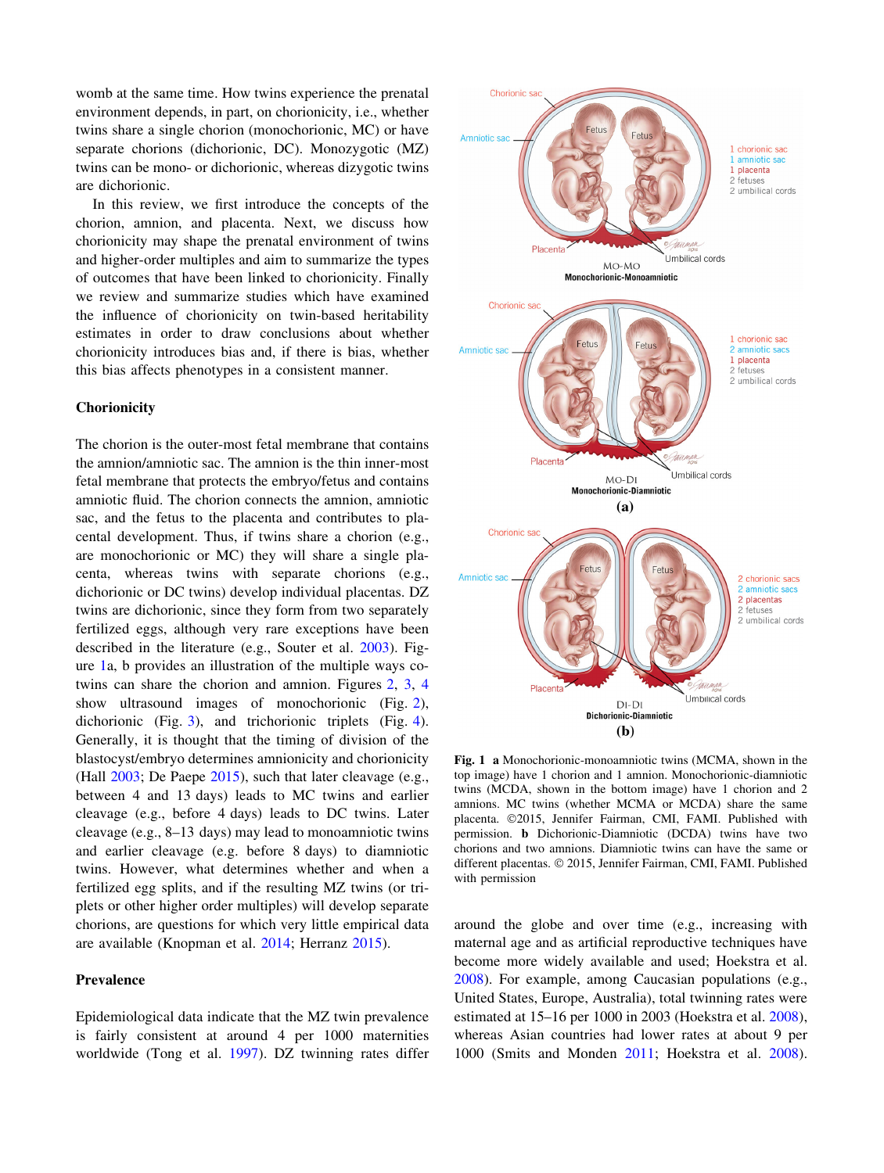womb at the same time. How twins experience the prenatal environment depends, in part, on chorionicity, i.e., whether twins share a single chorion (monochorionic, MC) or have separate chorions (dichorionic, DC). Monozygotic (MZ) twins can be mono- or dichorionic, whereas dizygotic twins are dichorionic.

In this review, we first introduce the concepts of the chorion, amnion, and placenta. Next, we discuss how chorionicity may shape the prenatal environment of twins and higher-order multiples and aim to summarize the types of outcomes that have been linked to chorionicity. Finally we review and summarize studies which have examined the influence of chorionicity on twin-based heritability estimates in order to draw conclusions about whether chorionicity introduces bias and, if there is bias, whether this bias affects phenotypes in a consistent manner.

#### **Chorionicity**

The chorion is the outer-most fetal membrane that contains the amnion/amniotic sac. The amnion is the thin inner-most fetal membrane that protects the embryo/fetus and contains amniotic fluid. The chorion connects the amnion, amniotic sac, and the fetus to the placenta and contributes to placental development. Thus, if twins share a chorion (e.g., are monochorionic or MC) they will share a single placenta, whereas twins with separate chorions (e.g., dichorionic or DC twins) develop individual placentas. DZ twins are dichorionic, since they form from two separately fertilized eggs, although very rare exceptions have been described in the literature (e.g., Souter et al. [2003](#page-16-0)). Figure 1a, b provides an illustration of the multiple ways cotwins can share the chorion and amnion. Figures [2,](#page-2-0) [3](#page-2-0), [4](#page-2-0) show ultrasound images of monochorionic (Fig. [2](#page-2-0)), dichorionic (Fig. [3](#page-2-0)), and trichorionic triplets (Fig. [4](#page-2-0)). Generally, it is thought that the timing of division of the blastocyst/embryo determines amnionicity and chorionicity (Hall [2003;](#page-15-0) De Paepe [2015\)](#page-15-0), such that later cleavage (e.g., between 4 and 13 days) leads to MC twins and earlier cleavage (e.g., before 4 days) leads to DC twins. Later cleavage (e.g., 8–13 days) may lead to monoamniotic twins and earlier cleavage (e.g. before 8 days) to diamniotic twins. However, what determines whether and when a fertilized egg splits, and if the resulting MZ twins (or triplets or other higher order multiples) will develop separate chorions, are questions for which very little empirical data are available (Knopman et al. [2014;](#page-16-0) Herranz [2015\)](#page-15-0).

## Prevalence

Epidemiological data indicate that the MZ twin prevalence is fairly consistent at around 4 per 1000 maternities worldwide (Tong et al. [1997](#page-17-0)). DZ twinning rates differ



Fig. 1 a Monochorionic-monoamniotic twins (MCMA, shown in the top image) have 1 chorion and 1 amnion. Monochorionic-diamniotic twins (MCDA, shown in the bottom image) have 1 chorion and 2 amnions. MC twins (whether MCMA or MCDA) share the same placenta. ©2015, Jennifer Fairman, CMI, FAMI. Published with permission. b Dichorionic-Diamniotic (DCDA) twins have two chorions and two amnions. Diamniotic twins can have the same or different placentas. © 2015, Jennifer Fairman, CMI, FAMI. Published with permission

around the globe and over time (e.g., increasing with maternal age and as artificial reproductive techniques have become more widely available and used; Hoekstra et al. [2008](#page-15-0)). For example, among Caucasian populations (e.g., United States, Europe, Australia), total twinning rates were estimated at 15–16 per 1000 in 2003 (Hoekstra et al. [2008](#page-15-0)), whereas Asian countries had lower rates at about 9 per 1000 (Smits and Monden [2011](#page-16-0); Hoekstra et al. [2008](#page-15-0)).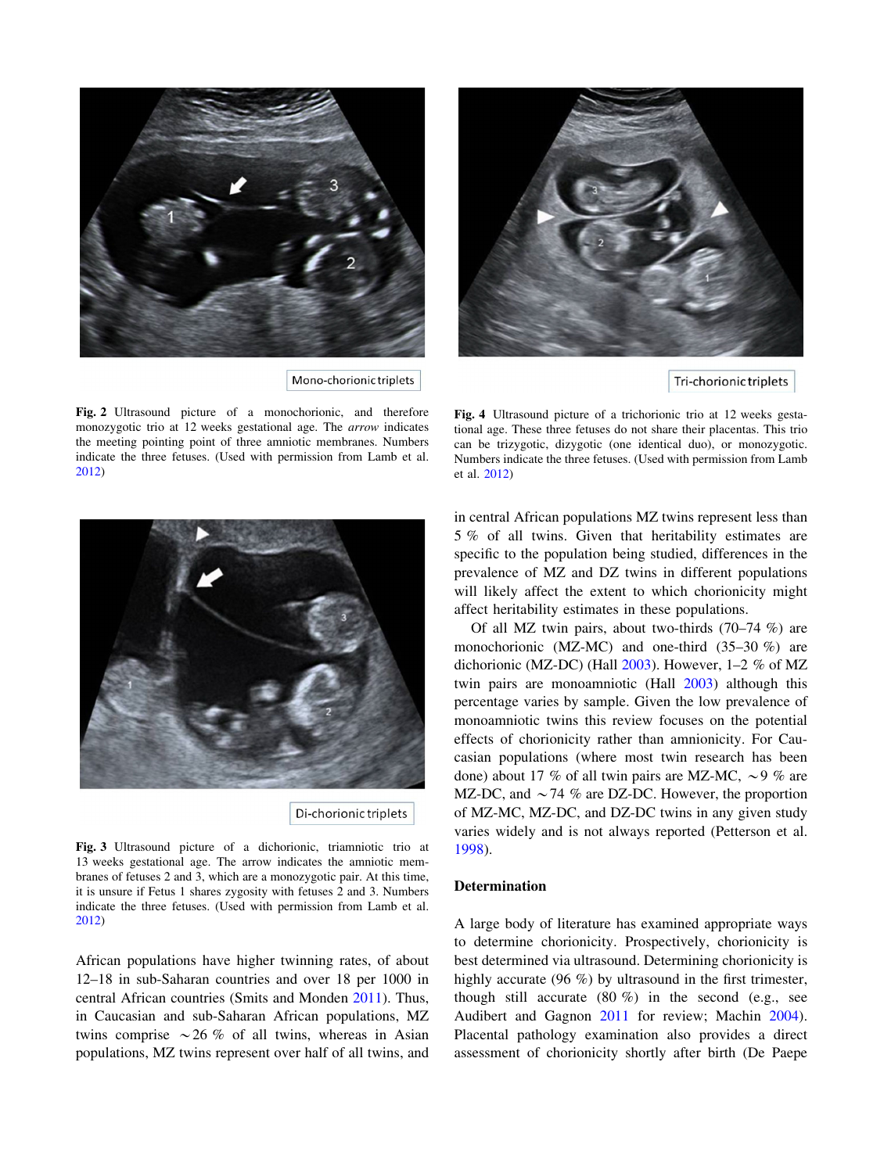<span id="page-2-0"></span>

Mono-chorionic triplets

Fig. 2 Ultrasound picture of a monochorionic, and therefore monozygotic trio at 12 weeks gestational age. The arrow indicates the meeting pointing point of three amniotic membranes. Numbers indicate the three fetuses. (Used with permission from Lamb et al. [2012\)](#page-16-0)



Tri-chorionic triplets

Fig. 4 Ultrasound picture of a trichorionic trio at 12 weeks gestational age. These three fetuses do not share their placentas. This trio can be trizygotic, dizygotic (one identical duo), or monozygotic. Numbers indicate the three fetuses. (Used with permission from Lamb et al. [2012](#page-16-0))



Fig. 3 Ultrasound picture of a dichorionic, triamniotic trio at 13 weeks gestational age. The arrow indicates the amniotic membranes of fetuses 2 and 3, which are a monozygotic pair. At this time, it is unsure if Fetus 1 shares zygosity with fetuses 2 and 3. Numbers indicate the three fetuses. (Used with permission from Lamb et al. [2012\)](#page-16-0)

African populations have higher twinning rates, of about 12–18 in sub-Saharan countries and over 18 per 1000 in central African countries (Smits and Monden [2011\)](#page-16-0). Thus, in Caucasian and sub-Saharan African populations, MZ twins comprise  $\sim$  26 % of all twins, whereas in Asian populations, MZ twins represent over half of all twins, and in central African populations MZ twins represent less than 5 % of all twins. Given that heritability estimates are specific to the population being studied, differences in the prevalence of MZ and DZ twins in different populations will likely affect the extent to which chorionicity might affect heritability estimates in these populations.

Of all MZ twin pairs, about two-thirds (70–74 %) are monochorionic (MZ-MC) and one-third (35–30 %) are dichorionic (MZ-DC) (Hall [2003\)](#page-15-0). However, 1–2 % of MZ twin pairs are monoamniotic (Hall [2003\)](#page-15-0) although this percentage varies by sample. Given the low prevalence of monoamniotic twins this review focuses on the potential effects of chorionicity rather than amnionicity. For Caucasian populations (where most twin research has been done) about 17 % of all twin pairs are MZ-MC,  $\sim$  9 % are MZ-DC, and  $\sim$  74 % are DZ-DC. However, the proportion of MZ-MC, MZ-DC, and DZ-DC twins in any given study varies widely and is not always reported (Petterson et al. [1998](#page-16-0)).

#### Determination

A large body of literature has examined appropriate ways to determine chorionicity. Prospectively, chorionicity is best determined via ultrasound. Determining chorionicity is highly accurate (96 %) by ultrasound in the first trimester, though still accurate  $(80 \%)$  in the second (e.g., see Audibert and Gagnon [2011](#page-15-0) for review; Machin [2004](#page-16-0)). Placental pathology examination also provides a direct assessment of chorionicity shortly after birth (De Paepe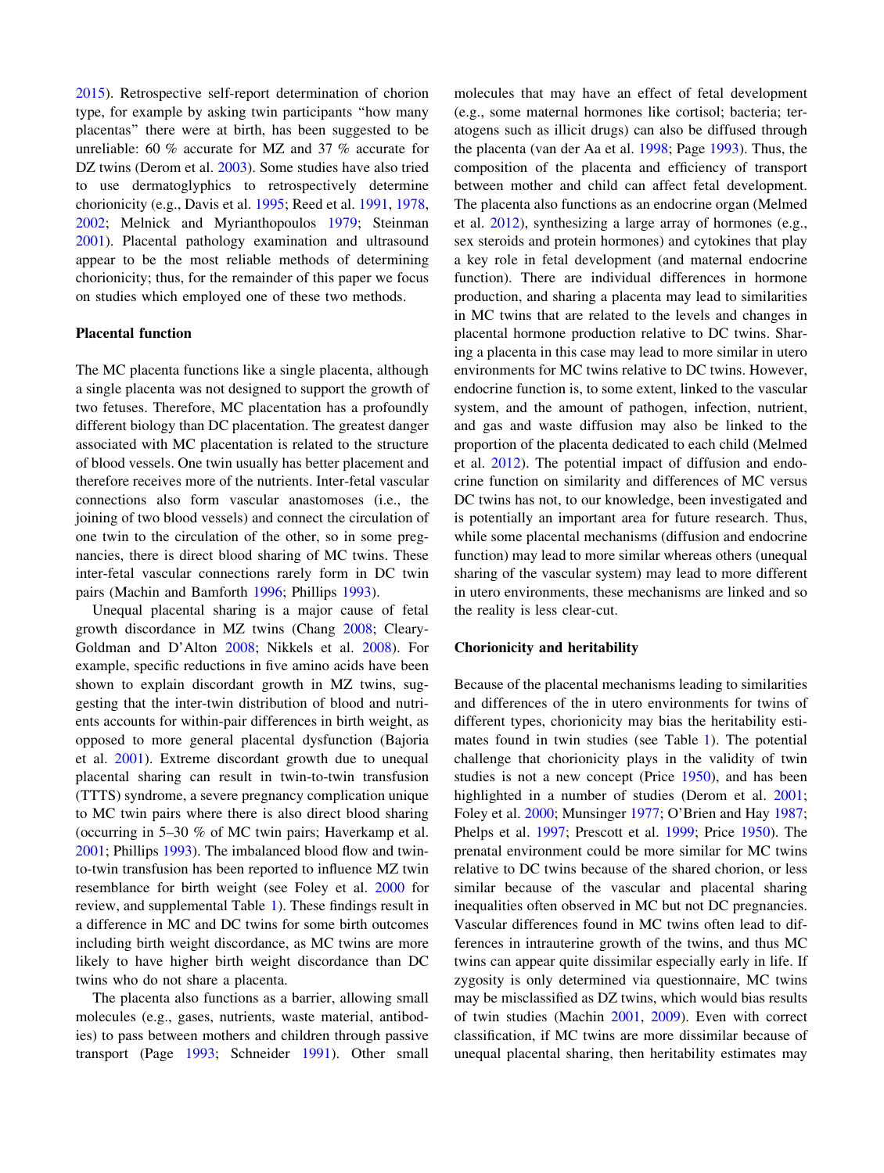[2015\)](#page-15-0). Retrospective self-report determination of chorion type, for example by asking twin participants ''how many placentas'' there were at birth, has been suggested to be unreliable: 60 % accurate for MZ and 37 % accurate for DZ twins (Derom et al. [2003\)](#page-15-0). Some studies have also tried to use dermatoglyphics to retrospectively determine chorionicity (e.g., Davis et al. [1995;](#page-15-0) Reed et al. [1991,](#page-16-0) [1978,](#page-16-0) [2002;](#page-16-0) Melnick and Myrianthopoulos [1979;](#page-16-0) Steinman [2001\)](#page-17-0). Placental pathology examination and ultrasound appear to be the most reliable methods of determining chorionicity; thus, for the remainder of this paper we focus on studies which employed one of these two methods.

## Placental function

The MC placenta functions like a single placenta, although a single placenta was not designed to support the growth of two fetuses. Therefore, MC placentation has a profoundly different biology than DC placentation. The greatest danger associated with MC placentation is related to the structure of blood vessels. One twin usually has better placement and therefore receives more of the nutrients. Inter-fetal vascular connections also form vascular anastomoses (i.e., the joining of two blood vessels) and connect the circulation of one twin to the circulation of the other, so in some pregnancies, there is direct blood sharing of MC twins. These inter-fetal vascular connections rarely form in DC twin pairs (Machin and Bamforth [1996](#page-16-0); Phillips [1993](#page-16-0)).

Unequal placental sharing is a major cause of fetal growth discordance in MZ twins (Chang [2008](#page-15-0); Cleary-Goldman and D'Alton [2008;](#page-15-0) Nikkels et al. [2008](#page-16-0)). For example, specific reductions in five amino acids have been shown to explain discordant growth in MZ twins, suggesting that the inter-twin distribution of blood and nutrients accounts for within-pair differences in birth weight, as opposed to more general placental dysfunction (Bajoria et al. [2001](#page-15-0)). Extreme discordant growth due to unequal placental sharing can result in twin-to-twin transfusion (TTTS) syndrome, a severe pregnancy complication unique to MC twin pairs where there is also direct blood sharing (occurring in 5–30 % of MC twin pairs; Haverkamp et al. [2001;](#page-15-0) Phillips [1993\)](#page-16-0). The imbalanced blood flow and twinto-twin transfusion has been reported to influence MZ twin resemblance for birth weight (see Foley et al. [2000](#page-15-0) for review, and supplemental Table [1](#page-4-0)). These findings result in a difference in MC and DC twins for some birth outcomes including birth weight discordance, as MC twins are more likely to have higher birth weight discordance than DC twins who do not share a placenta.

The placenta also functions as a barrier, allowing small molecules (e.g., gases, nutrients, waste material, antibodies) to pass between mothers and children through passive transport (Page [1993;](#page-16-0) Schneider [1991](#page-16-0)). Other small molecules that may have an effect of fetal development (e.g., some maternal hormones like cortisol; bacteria; teratogens such as illicit drugs) can also be diffused through the placenta (van der Aa et al. [1998](#page-17-0); Page [1993](#page-16-0)). Thus, the composition of the placenta and efficiency of transport between mother and child can affect fetal development. The placenta also functions as an endocrine organ (Melmed et al. [2012](#page-16-0)), synthesizing a large array of hormones (e.g., sex steroids and protein hormones) and cytokines that play a key role in fetal development (and maternal endocrine function). There are individual differences in hormone production, and sharing a placenta may lead to similarities in MC twins that are related to the levels and changes in placental hormone production relative to DC twins. Sharing a placenta in this case may lead to more similar in utero environments for MC twins relative to DC twins. However, endocrine function is, to some extent, linked to the vascular system, and the amount of pathogen, infection, nutrient, and gas and waste diffusion may also be linked to the proportion of the placenta dedicated to each child (Melmed et al. [2012](#page-16-0)). The potential impact of diffusion and endocrine function on similarity and differences of MC versus DC twins has not, to our knowledge, been investigated and is potentially an important area for future research. Thus, while some placental mechanisms (diffusion and endocrine function) may lead to more similar whereas others (unequal sharing of the vascular system) may lead to more different in utero environments, these mechanisms are linked and so the reality is less clear-cut.

#### Chorionicity and heritability

Because of the placental mechanisms leading to similarities and differences of the in utero environments for twins of different types, chorionicity may bias the heritability estimates found in twin studies (see Table [1](#page-4-0)). The potential challenge that chorionicity plays in the validity of twin studies is not a new concept (Price [1950](#page-16-0)), and has been highlighted in a number of studies (Derom et al. [2001](#page-15-0); Foley et al. [2000;](#page-15-0) Munsinger [1977;](#page-16-0) O'Brien and Hay [1987](#page-16-0); Phelps et al. [1997](#page-16-0); Prescott et al. [1999](#page-16-0); Price [1950](#page-16-0)). The prenatal environment could be more similar for MC twins relative to DC twins because of the shared chorion, or less similar because of the vascular and placental sharing inequalities often observed in MC but not DC pregnancies. Vascular differences found in MC twins often lead to differences in intrauterine growth of the twins, and thus MC twins can appear quite dissimilar especially early in life. If zygosity is only determined via questionnaire, MC twins may be misclassified as DZ twins, which would bias results of twin studies (Machin [2001,](#page-16-0) [2009\)](#page-16-0). Even with correct classification, if MC twins are more dissimilar because of unequal placental sharing, then heritability estimates may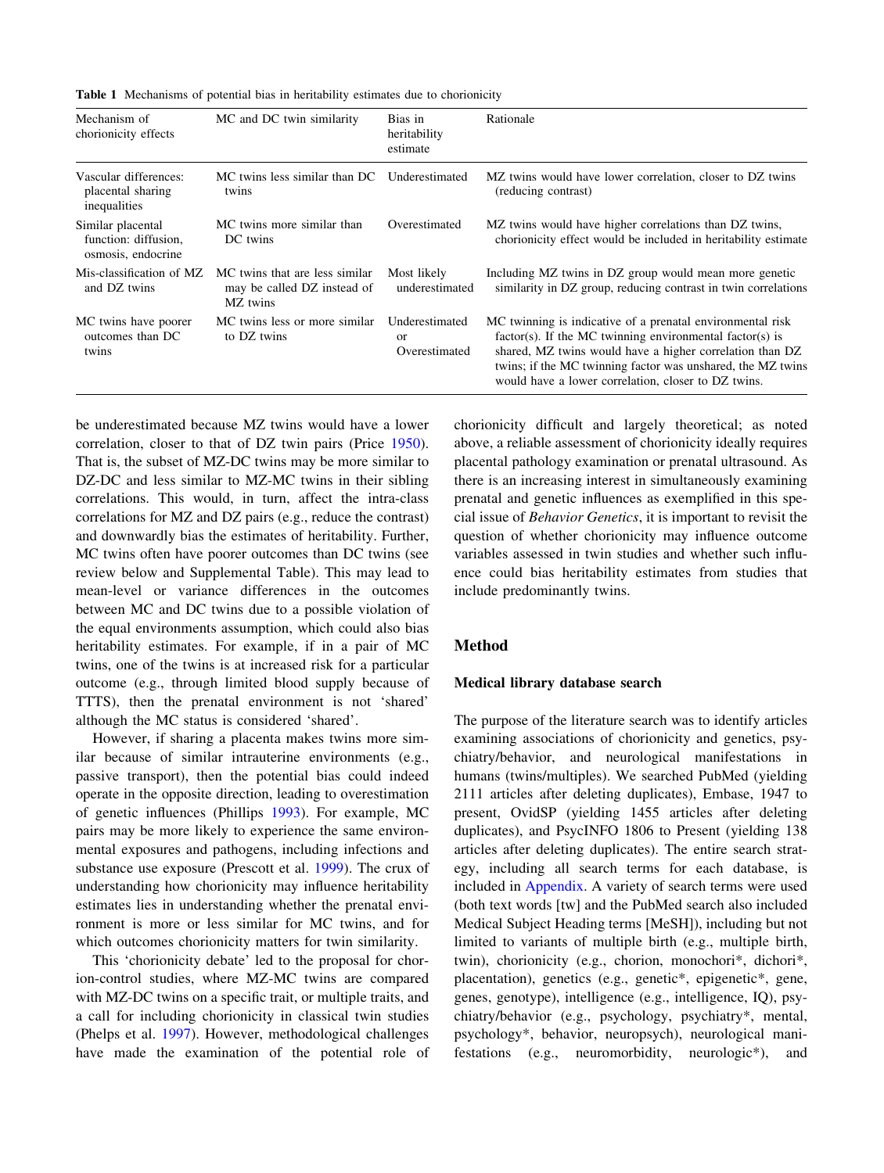<span id="page-4-0"></span>Table 1 Mechanisms of potential bias in heritability estimates due to chorionicity

| Mechanism of<br>chorionicity effects                            | MC and DC twin similarity                                                 | Bias in<br>heritability<br>estimate              | Rationale                                                                                                                                                                                                                                                                                                   |
|-----------------------------------------------------------------|---------------------------------------------------------------------------|--------------------------------------------------|-------------------------------------------------------------------------------------------------------------------------------------------------------------------------------------------------------------------------------------------------------------------------------------------------------------|
| Vascular differences:<br>placental sharing<br>inequalities      | MC twins less similar than DC<br>twins                                    | Underestimated                                   | MZ twins would have lower correlation, closer to DZ twins<br>(reducing contrast)                                                                                                                                                                                                                            |
| Similar placental<br>function: diffusion,<br>osmosis, endocrine | MC twins more similar than<br>DC twins                                    | Overestimated                                    | MZ twins would have higher correlations than DZ twins,<br>chorionicity effect would be included in heritability estimate                                                                                                                                                                                    |
| Mis-classification of MZ<br>and DZ twins                        | MC twins that are less similar<br>may be called DZ instead of<br>MZ twins | Most likely<br>underestimated                    | Including MZ twins in DZ group would mean more genetic<br>similarity in DZ group, reducing contrast in twin correlations                                                                                                                                                                                    |
| MC twins have poorer<br>outcomes than DC<br>twins               | MC twins less or more similar<br>to DZ twins                              | Underestimated<br><sub>or</sub><br>Overestimated | MC twinning is indicative of a prenatal environmental risk<br>$factor(s)$ . If the MC twinning environmental factor(s) is<br>shared, MZ twins would have a higher correlation than DZ<br>twins; if the MC twinning factor was unshared, the MZ twins<br>would have a lower correlation, closer to DZ twins. |

be underestimated because MZ twins would have a lower correlation, closer to that of DZ twin pairs (Price [1950](#page-16-0)). That is, the subset of MZ-DC twins may be more similar to DZ-DC and less similar to MZ-MC twins in their sibling correlations. This would, in turn, affect the intra-class correlations for MZ and DZ pairs (e.g., reduce the contrast) and downwardly bias the estimates of heritability. Further, MC twins often have poorer outcomes than DC twins (see review below and Supplemental Table). This may lead to mean-level or variance differences in the outcomes between MC and DC twins due to a possible violation of the equal environments assumption, which could also bias heritability estimates. For example, if in a pair of MC twins, one of the twins is at increased risk for a particular outcome (e.g., through limited blood supply because of TTTS), then the prenatal environment is not 'shared' although the MC status is considered 'shared'.

However, if sharing a placenta makes twins more similar because of similar intrauterine environments (e.g., passive transport), then the potential bias could indeed operate in the opposite direction, leading to overestimation of genetic influences (Phillips [1993\)](#page-16-0). For example, MC pairs may be more likely to experience the same environmental exposures and pathogens, including infections and substance use exposure (Prescott et al. [1999\)](#page-16-0). The crux of understanding how chorionicity may influence heritability estimates lies in understanding whether the prenatal environment is more or less similar for MC twins, and for which outcomes chorionicity matters for twin similarity.

This 'chorionicity debate' led to the proposal for chorion-control studies, where MZ-MC twins are compared with MZ-DC twins on a specific trait, or multiple traits, and a call for including chorionicity in classical twin studies (Phelps et al. [1997\)](#page-16-0). However, methodological challenges have made the examination of the potential role of chorionicity difficult and largely theoretical; as noted above, a reliable assessment of chorionicity ideally requires placental pathology examination or prenatal ultrasound. As there is an increasing interest in simultaneously examining prenatal and genetic influences as exemplified in this special issue of Behavior Genetics, it is important to revisit the question of whether chorionicity may influence outcome variables assessed in twin studies and whether such influence could bias heritability estimates from studies that include predominantly twins.

# Method

#### Medical library database search

The purpose of the literature search was to identify articles examining associations of chorionicity and genetics, psychiatry/behavior, and neurological manifestations in humans (twins/multiples). We searched PubMed (yielding 2111 articles after deleting duplicates), Embase, 1947 to present, OvidSP (yielding 1455 articles after deleting duplicates), and PsycINFO 1806 to Present (yielding 138 articles after deleting duplicates). The entire search strategy, including all search terms for each database, is included in [Appendix](#page-13-0). A variety of search terms were used (both text words [tw] and the PubMed search also included Medical Subject Heading terms [MeSH]), including but not limited to variants of multiple birth (e.g., multiple birth, twin), chorionicity (e.g., chorion, monochori\*, dichori\*, placentation), genetics (e.g., genetic\*, epigenetic\*, gene, genes, genotype), intelligence (e.g., intelligence, IQ), psychiatry/behavior (e.g., psychology, psychiatry\*, mental, psychology\*, behavior, neuropsych), neurological manifestations (e.g., neuromorbidity, neurologic\*), and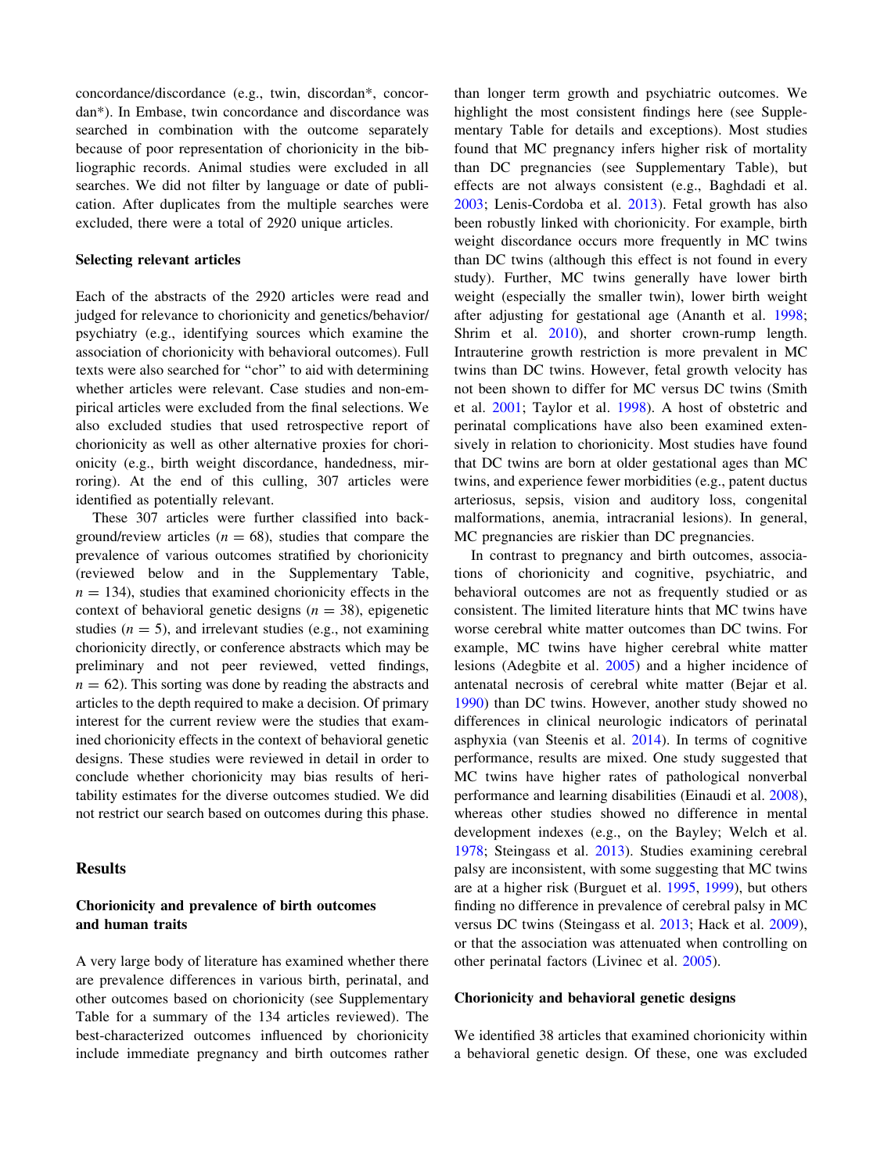concordance/discordance (e.g., twin, discordan\*, concordan\*). In Embase, twin concordance and discordance was searched in combination with the outcome separately because of poor representation of chorionicity in the bibliographic records. Animal studies were excluded in all searches. We did not filter by language or date of publication. After duplicates from the multiple searches were excluded, there were a total of 2920 unique articles.

#### Selecting relevant articles

Each of the abstracts of the 2920 articles were read and judged for relevance to chorionicity and genetics/behavior/ psychiatry (e.g., identifying sources which examine the association of chorionicity with behavioral outcomes). Full texts were also searched for ''chor'' to aid with determining whether articles were relevant. Case studies and non-empirical articles were excluded from the final selections. We also excluded studies that used retrospective report of chorionicity as well as other alternative proxies for chorionicity (e.g., birth weight discordance, handedness, mirroring). At the end of this culling, 307 articles were identified as potentially relevant.

These 307 articles were further classified into background/review articles ( $n = 68$ ), studies that compare the prevalence of various outcomes stratified by chorionicity (reviewed below and in the Supplementary Table,  $n = 134$ ), studies that examined chorionicity effects in the context of behavioral genetic designs  $(n = 38)$ , epigenetic studies  $(n = 5)$ , and irrelevant studies (e.g., not examining chorionicity directly, or conference abstracts which may be preliminary and not peer reviewed, vetted findings,  $n = 62$ ). This sorting was done by reading the abstracts and articles to the depth required to make a decision. Of primary interest for the current review were the studies that examined chorionicity effects in the context of behavioral genetic designs. These studies were reviewed in detail in order to conclude whether chorionicity may bias results of heritability estimates for the diverse outcomes studied. We did not restrict our search based on outcomes during this phase.

## Results

# Chorionicity and prevalence of birth outcomes and human traits

A very large body of literature has examined whether there are prevalence differences in various birth, perinatal, and other outcomes based on chorionicity (see Supplementary Table for a summary of the 134 articles reviewed). The best-characterized outcomes influenced by chorionicity include immediate pregnancy and birth outcomes rather

than longer term growth and psychiatric outcomes. We highlight the most consistent findings here (see Supplementary Table for details and exceptions). Most studies found that MC pregnancy infers higher risk of mortality than DC pregnancies (see Supplementary Table), but effects are not always consistent (e.g., Baghdadi et al. [2003](#page-15-0); Lenis-Cordoba et al. [2013](#page-16-0)). Fetal growth has also been robustly linked with chorionicity. For example, birth weight discordance occurs more frequently in MC twins than DC twins (although this effect is not found in every study). Further, MC twins generally have lower birth weight (especially the smaller twin), lower birth weight after adjusting for gestational age (Ananth et al. [1998](#page-15-0); Shrim et al. [2010\)](#page-16-0), and shorter crown-rump length. Intrauterine growth restriction is more prevalent in MC twins than DC twins. However, fetal growth velocity has not been shown to differ for MC versus DC twins (Smith et al. [2001;](#page-16-0) Taylor et al. [1998\)](#page-17-0). A host of obstetric and perinatal complications have also been examined extensively in relation to chorionicity. Most studies have found that DC twins are born at older gestational ages than MC twins, and experience fewer morbidities (e.g., patent ductus arteriosus, sepsis, vision and auditory loss, congenital malformations, anemia, intracranial lesions). In general, MC pregnancies are riskier than DC pregnancies.

In contrast to pregnancy and birth outcomes, associations of chorionicity and cognitive, psychiatric, and behavioral outcomes are not as frequently studied or as consistent. The limited literature hints that MC twins have worse cerebral white matter outcomes than DC twins. For example, MC twins have higher cerebral white matter lesions (Adegbite et al. [2005](#page-15-0)) and a higher incidence of antenatal necrosis of cerebral white matter (Bejar et al. [1990](#page-15-0)) than DC twins. However, another study showed no differences in clinical neurologic indicators of perinatal asphyxia (van Steenis et al. [2014\)](#page-17-0). In terms of cognitive performance, results are mixed. One study suggested that MC twins have higher rates of pathological nonverbal performance and learning disabilities (Einaudi et al. [2008](#page-15-0)), whereas other studies showed no difference in mental development indexes (e.g., on the Bayley; Welch et al. [1978](#page-17-0); Steingass et al. [2013](#page-16-0)). Studies examining cerebral palsy are inconsistent, with some suggesting that MC twins are at a higher risk (Burguet et al. [1995](#page-15-0), [1999\)](#page-15-0), but others finding no difference in prevalence of cerebral palsy in MC versus DC twins (Steingass et al. [2013;](#page-16-0) Hack et al. [2009](#page-15-0)), or that the association was attenuated when controlling on other perinatal factors (Livinec et al. [2005](#page-16-0)).

## Chorionicity and behavioral genetic designs

We identified 38 articles that examined chorionicity within a behavioral genetic design. Of these, one was excluded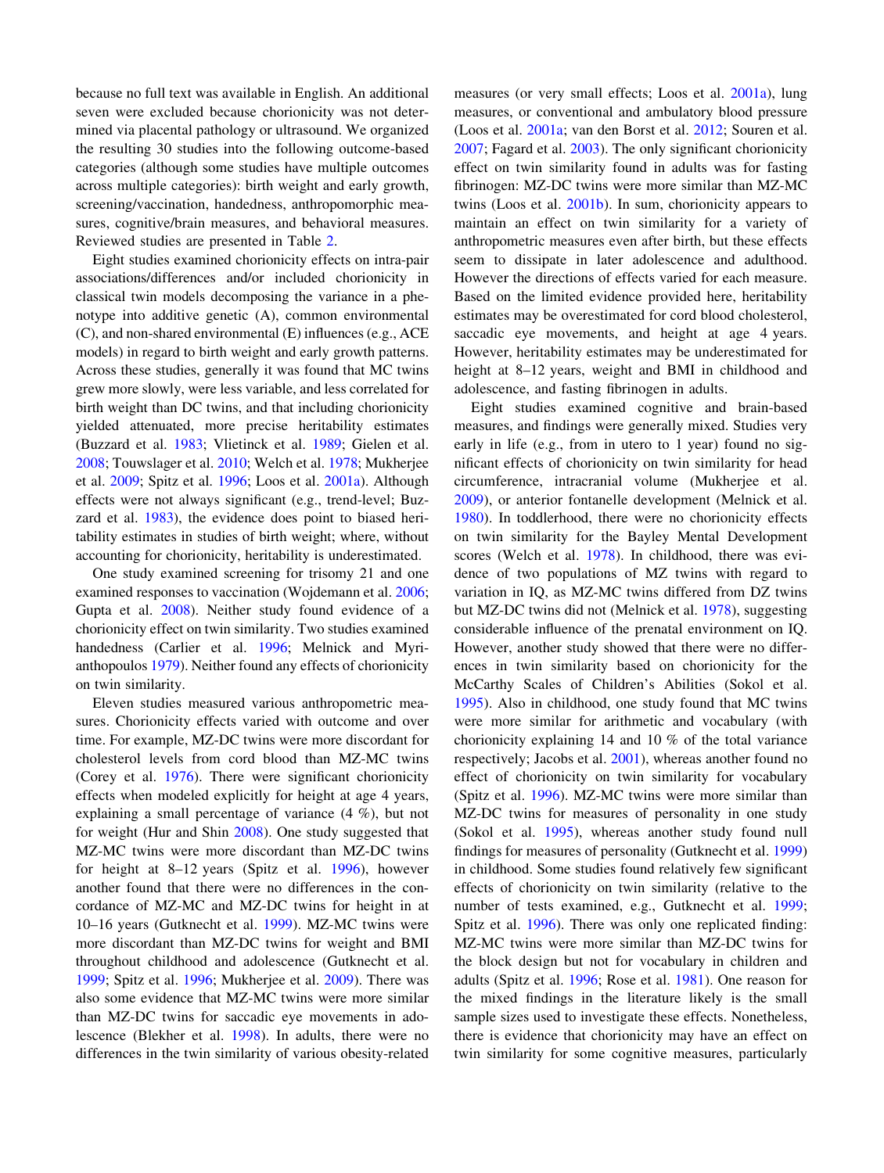because no full text was available in English. An additional seven were excluded because chorionicity was not determined via placental pathology or ultrasound. We organized the resulting 30 studies into the following outcome-based categories (although some studies have multiple outcomes across multiple categories): birth weight and early growth, screening/vaccination, handedness, anthropomorphic measures, cognitive/brain measures, and behavioral measures. Reviewed studies are presented in Table [2](#page-7-0).

Eight studies examined chorionicity effects on intra-pair associations/differences and/or included chorionicity in classical twin models decomposing the variance in a phenotype into additive genetic (A), common environmental (C), and non-shared environmental (E) influences (e.g., ACE models) in regard to birth weight and early growth patterns. Across these studies, generally it was found that MC twins grew more slowly, were less variable, and less correlated for birth weight than DC twins, and that including chorionicity yielded attenuated, more precise heritability estimates (Buzzard et al. [1983;](#page-15-0) Vlietinck et al. [1989](#page-17-0); Gielen et al. [2008;](#page-15-0) Touwslager et al. [2010](#page-17-0); Welch et al. [1978](#page-17-0); Mukherjee et al. [2009;](#page-16-0) Spitz et al. [1996;](#page-16-0) Loos et al. [2001a\)](#page-16-0). Although effects were not always significant (e.g., trend-level; Buzzard et al. [1983](#page-15-0)), the evidence does point to biased heritability estimates in studies of birth weight; where, without accounting for chorionicity, heritability is underestimated.

One study examined screening for trisomy 21 and one examined responses to vaccination (Wojdemann et al. [2006](#page-17-0); Gupta et al. [2008](#page-15-0)). Neither study found evidence of a chorionicity effect on twin similarity. Two studies examined handedness (Carlier et al. [1996;](#page-15-0) Melnick and Myrianthopoulos [1979](#page-16-0)). Neither found any effects of chorionicity on twin similarity.

Eleven studies measured various anthropometric measures. Chorionicity effects varied with outcome and over time. For example, MZ-DC twins were more discordant for cholesterol levels from cord blood than MZ-MC twins (Corey et al. [1976\)](#page-15-0). There were significant chorionicity effects when modeled explicitly for height at age 4 years, explaining a small percentage of variance (4 %), but not for weight (Hur and Shin [2008\)](#page-15-0). One study suggested that MZ-MC twins were more discordant than MZ-DC twins for height at 8–12 years (Spitz et al. [1996\)](#page-16-0), however another found that there were no differences in the concordance of MZ-MC and MZ-DC twins for height in at 10–16 years (Gutknecht et al. [1999](#page-15-0)). MZ-MC twins were more discordant than MZ-DC twins for weight and BMI throughout childhood and adolescence (Gutknecht et al. [1999;](#page-15-0) Spitz et al. [1996](#page-16-0); Mukherjee et al. [2009](#page-16-0)). There was also some evidence that MZ-MC twins were more similar than MZ-DC twins for saccadic eye movements in adolescence (Blekher et al. [1998\)](#page-15-0). In adults, there were no differences in the twin similarity of various obesity-related measures (or very small effects; Loos et al. [2001a\)](#page-16-0), lung measures, or conventional and ambulatory blood pressure (Loos et al. [2001a;](#page-16-0) van den Borst et al. [2012](#page-17-0); Souren et al. [2007](#page-16-0); Fagard et al. [2003](#page-15-0)). The only significant chorionicity effect on twin similarity found in adults was for fasting fibrinogen: MZ-DC twins were more similar than MZ-MC twins (Loos et al. [2001b\)](#page-16-0). In sum, chorionicity appears to maintain an effect on twin similarity for a variety of anthropometric measures even after birth, but these effects seem to dissipate in later adolescence and adulthood. However the directions of effects varied for each measure. Based on the limited evidence provided here, heritability estimates may be overestimated for cord blood cholesterol, saccadic eye movements, and height at age 4 years. However, heritability estimates may be underestimated for height at 8–12 years, weight and BMI in childhood and adolescence, and fasting fibrinogen in adults.

Eight studies examined cognitive and brain-based measures, and findings were generally mixed. Studies very early in life (e.g., from in utero to 1 year) found no significant effects of chorionicity on twin similarity for head circumference, intracranial volume (Mukherjee et al. [2009](#page-16-0)), or anterior fontanelle development (Melnick et al. [1980](#page-16-0)). In toddlerhood, there were no chorionicity effects on twin similarity for the Bayley Mental Development scores (Welch et al. [1978\)](#page-17-0). In childhood, there was evidence of two populations of MZ twins with regard to variation in IQ, as MZ-MC twins differed from DZ twins but MZ-DC twins did not (Melnick et al. [1978](#page-16-0)), suggesting considerable influence of the prenatal environment on IQ. However, another study showed that there were no differences in twin similarity based on chorionicity for the McCarthy Scales of Children's Abilities (Sokol et al. [1995](#page-16-0)). Also in childhood, one study found that MC twins were more similar for arithmetic and vocabulary (with chorionicity explaining 14 and 10 % of the total variance respectively; Jacobs et al. [2001\)](#page-16-0), whereas another found no effect of chorionicity on twin similarity for vocabulary (Spitz et al. [1996](#page-16-0)). MZ-MC twins were more similar than MZ-DC twins for measures of personality in one study (Sokol et al. [1995\)](#page-16-0), whereas another study found null findings for measures of personality (Gutknecht et al. [1999\)](#page-15-0) in childhood. Some studies found relatively few significant effects of chorionicity on twin similarity (relative to the number of tests examined, e.g., Gutknecht et al. [1999](#page-15-0); Spitz et al. [1996\)](#page-16-0). There was only one replicated finding: MZ-MC twins were more similar than MZ-DC twins for the block design but not for vocabulary in children and adults (Spitz et al. [1996](#page-16-0); Rose et al. [1981\)](#page-16-0). One reason for the mixed findings in the literature likely is the small sample sizes used to investigate these effects. Nonetheless, there is evidence that chorionicity may have an effect on twin similarity for some cognitive measures, particularly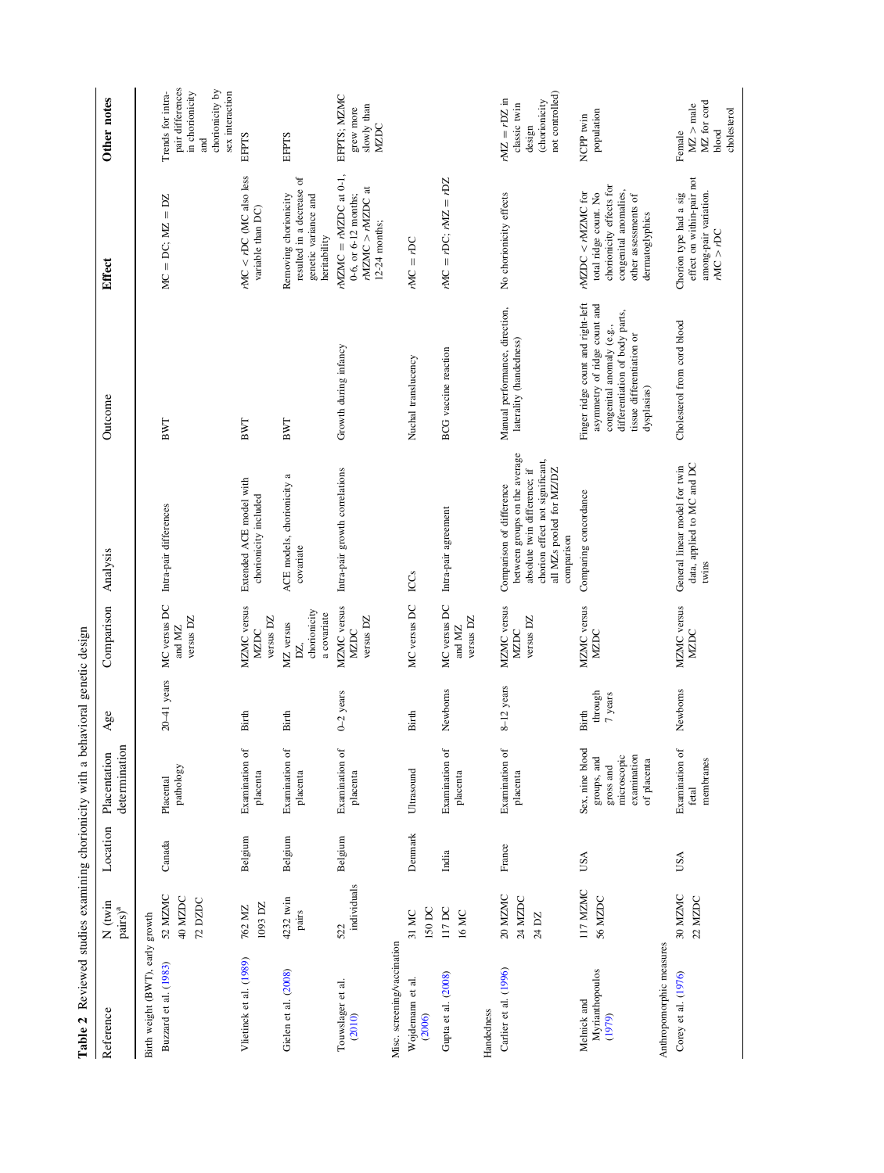<span id="page-7-0"></span>

| Table 2 Reviewed studies examining chorionicity with a behavioral genetic design |                                           |          |                                                                                          |                             |                                                 |                                                                                                                                                                        |                                                                                                                                                                              |                                                                                                                                              |                                                                                                                  |
|----------------------------------------------------------------------------------|-------------------------------------------|----------|------------------------------------------------------------------------------------------|-----------------------------|-------------------------------------------------|------------------------------------------------------------------------------------------------------------------------------------------------------------------------|------------------------------------------------------------------------------------------------------------------------------------------------------------------------------|----------------------------------------------------------------------------------------------------------------------------------------------|------------------------------------------------------------------------------------------------------------------|
| Reference                                                                        | $N$ (twin<br>$\mathrm{pairs})^\mathrm{a}$ | Location | determination<br>Placentation                                                            | Age                         | Comparison                                      | Analysis                                                                                                                                                               | Outcome                                                                                                                                                                      | Effect                                                                                                                                       | Other notes                                                                                                      |
| Birth weight (BWT), early growth<br>Buzzard et al. (1983)                        | 52 MZMC<br>40 MZDC<br>72 DZDC             | Canada   | pathology<br>Placental                                                                   | $20-41$ years               | MC versus DC<br>versus DZ<br>and MZ             | Intra-pair differences                                                                                                                                                 | BWT                                                                                                                                                                          | $MC = DC; MZ = DZ$                                                                                                                           | pair differences<br>chorionicity by<br>Trends for intra-<br>in chorionicity<br>sex interaction<br>$\overline{a}$ |
| Vlietinck et al. (1989)                                                          | 1093 DZ<br>762 MZ                         | Belgium  | Examination of<br>placenta                                                               | <b>Birth</b>                | MZMC versus<br>versus DZ<br>MZDC                | Extended ACE model with<br>chorionicity included                                                                                                                       | BWT                                                                                                                                                                          | $rMC < rDC$ (MC also less<br>variable than DC)                                                                                               | EFPTS                                                                                                            |
| Gielen et al. (2008)                                                             | 4232 twin<br>pairs                        | Belgium  | Examination of<br>placenta                                                               | <b>Birth</b>                | chorionicity<br>a covariate<br>MZ versus<br>DZ, | ACE models, chorionicity a<br>covariate                                                                                                                                | BWT                                                                                                                                                                          | resulted in a decrease of<br>genetic variance and<br>Removing chorionicity<br>heritability                                                   | <b>EFPTS</b>                                                                                                     |
| Touwslager et al.<br>(2010)                                                      | individuals<br>522                        | Belgium  | Examination of<br>placenta                                                               | $0 - 2$ years               | MZMC versus<br>versus DZ<br>MZDC                | Intra-pair growth correlations                                                                                                                                         | Growth during infancy                                                                                                                                                        | $rNZMC = rNZDC$ at 0-1,<br>$r$ MZMC > $r$ MZDC at<br>0-6, or 6-12 months;<br>$12-24$ months;                                                 | EFPTS; MZMC<br>slowly than<br>grew more<br><b>NZDC</b>                                                           |
| Misc. screening/vaccination<br>Wojdemann et al.<br>(2006)                        | 150 DC<br>31 MC                           | Denmark  | Ultrasound                                                                               | Birth                       | MC versus DC                                    | ICCS                                                                                                                                                                   | Nuchal translucency                                                                                                                                                          | $PMC = rDC$                                                                                                                                  |                                                                                                                  |
| Gupta et al. (2008)                                                              | 117 DC<br>16 MC                           | India    | Examination of<br>placenta                                                               | Newborns                    | MC versus DC<br>versus DZ<br>and MZ             | Intra-pair agreement                                                                                                                                                   | <b>BCG</b> vaccine reaction                                                                                                                                                  | $rMC = rDC$ ; $rMZ = rDZ$                                                                                                                    |                                                                                                                  |
| Handedness                                                                       |                                           |          |                                                                                          |                             |                                                 |                                                                                                                                                                        |                                                                                                                                                                              |                                                                                                                                              |                                                                                                                  |
| Carlier et al. (1996)                                                            | 20 MZMC<br>24 MZDC<br>24 DZ               | France   | Examination of<br>placenta                                                               | 8-12 years                  | MZMC versus<br>versus DZ<br><b>NZDC</b>         | between groups on the average<br>chorion effect not significant,<br>absolute twin difference; if<br>all MZs pooled for MZ/DZ<br>Comparison of difference<br>comparison | Manual performance, direction,<br>laterality (handedness)                                                                                                                    | No chorionicity effects                                                                                                                      | not controlled)<br>$mZ = rDZ$ in<br>(chorionicity<br>classic twin<br>design                                      |
| Myrianthopoulos<br>Melnick and<br>(1979)                                         | 117 MZMC<br>56 MZDC                       | USA      | Sex, nine blood<br>microscopic<br>examination<br>groups, and<br>of placenta<br>gross and | through<br>7 years<br>Birth | MZMC versus<br><b>NZDC</b>                      | Comparing concordance                                                                                                                                                  | Finger ridge count and right-left<br>asymmetry of ridge count and<br>differentiation of body parts,<br>congenital anomaly (e.g.,<br>tissue differentiation or<br>dysplasias) | chorionicity effects for<br>congenital anomalies,<br>$rNZDC < rNZMC$ for<br>total ridge count. No<br>other assessments of<br>dermatoglyphics | population<br>NCPP twin                                                                                          |
| Anthropomorphic measures                                                         |                                           |          |                                                                                          |                             |                                                 |                                                                                                                                                                        |                                                                                                                                                                              |                                                                                                                                              |                                                                                                                  |
| Corey et al. (1976)                                                              | 30 MZMC<br>22 MZDC                        | USA      | Examination of<br>membranes<br>fetal                                                     | Newborns                    | MZMC versus<br><b>MZDC</b>                      | data, applied to MC and DC<br>General linear model for twin<br>twins                                                                                                   | Cholesterol from cord blood                                                                                                                                                  | effect on within-pair not<br>among-pair variation.<br>Chorion type had a sig<br>rMC > rDC                                                    | MZ for cord<br>$MZ > \mathrm{male}$<br>cholesterol<br>blood<br>Female                                            |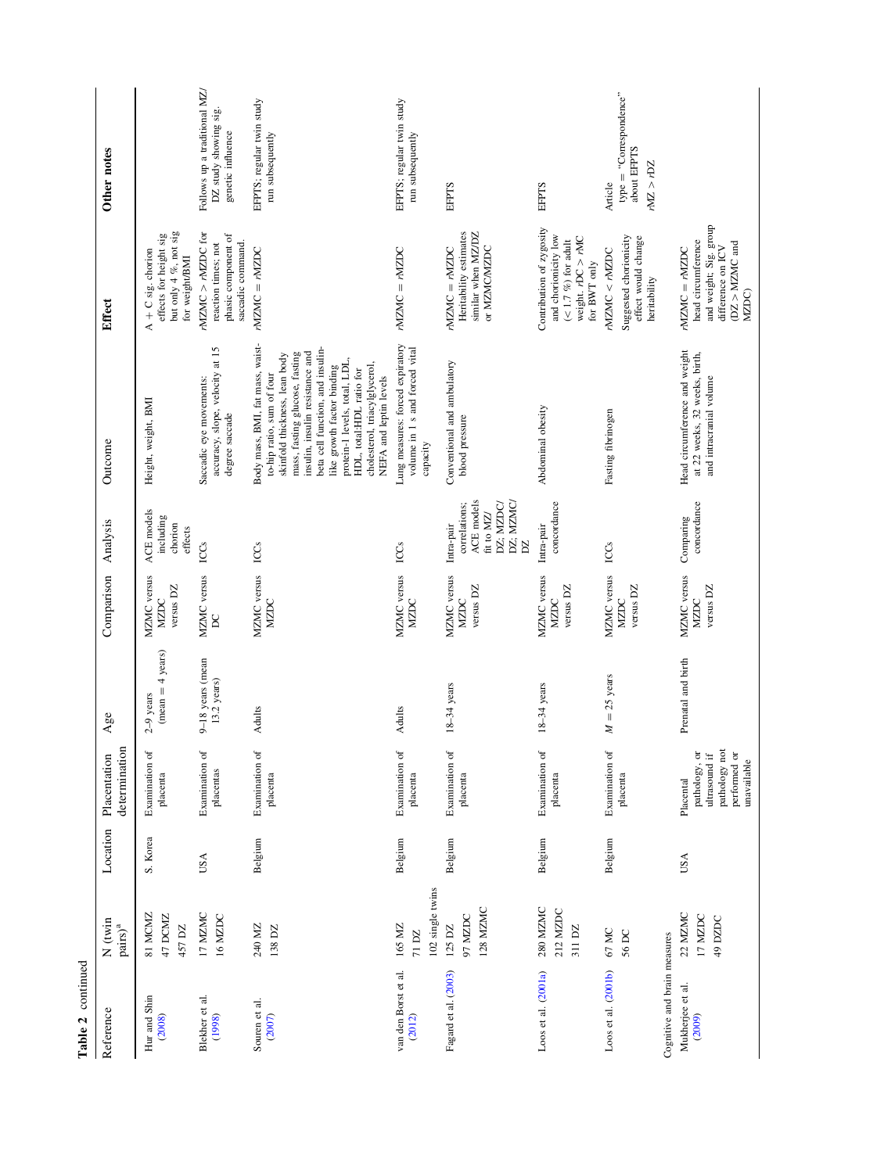| Table 2 continued                                          |                                           |          |                                                                                             |                                           |                                         |                                                                                               |                                                                                                                                                                                                                                                                                                                                                               |                                                                                                                       |                                                                            |
|------------------------------------------------------------|-------------------------------------------|----------|---------------------------------------------------------------------------------------------|-------------------------------------------|-----------------------------------------|-----------------------------------------------------------------------------------------------|---------------------------------------------------------------------------------------------------------------------------------------------------------------------------------------------------------------------------------------------------------------------------------------------------------------------------------------------------------------|-----------------------------------------------------------------------------------------------------------------------|----------------------------------------------------------------------------|
| Reference                                                  | $N$ (twin<br>$\mathrm{pairs})^\mathrm{a}$ | Location | determination<br>Placentation                                                               | Age                                       | Comparison                              | Analysis                                                                                      | Outcome                                                                                                                                                                                                                                                                                                                                                       | Effect                                                                                                                | Other notes                                                                |
| Hur and Shin<br>(2008)                                     | 81 MCMZ<br>47 DCMZ<br>457 DZ              | S. Korea | Examination of<br>placenta                                                                  | $(mean = 4 \text{ years})$<br>$2-9$ years | MZMC versus<br>versus DZ<br><b>MZDC</b> | ACE models<br>including<br>chorion<br>effects                                                 | Height, weight, BMI                                                                                                                                                                                                                                                                                                                                           | but only 4 %, not sig<br>effects for height sig<br>$A + C$ sig. chorion<br>for weight/BMI                             |                                                                            |
| Blekher et al.<br>(1998)                                   | 17 MZMC<br>16 MZDC                        | USA      | Examination of<br>placentas                                                                 | 9-18 years (mean<br>13.2 years)           | MZMC versus<br>$\mathsf{R}$             | <b>ICCs</b>                                                                                   | accuracy, slope, velocity at 15<br>Saccadic eye movements:<br>degree saccade                                                                                                                                                                                                                                                                                  | $rNZMC > rNZDC$ for<br>phasic component of<br>saccadic command.<br>reaction times; not                                | Follows up a traditional MZ/<br>DZ study showing sig.<br>genetic influence |
| Souren et al.<br>(2007)                                    | 240 MZ<br>138 DZ                          | Belgium  | Examination of<br>placenta                                                                  | Adults                                    | MZMC versus<br><b>MZDC</b>              | ICCS                                                                                          | Body mass, BMI, fat mass, waist-<br>beta cell function, and insulin-<br>insulin, insulin resistance and<br>mass, fasting glucose, fasting<br>skinfold thickness, lean body<br>protein-1 levels, total, LDL,<br>cholesterol, triacylglycerol,<br>like growth factor binding<br>HDL, total:HDL ratio for<br>to-hip ratio, sum of four<br>NEFA and leptin levels | $rMZMC = rMZDC$                                                                                                       | EFPTS; regular twin study<br>run subsequently                              |
| van den Borst et al.<br>(2012)                             | 102 single twins<br>165 MZ<br>71 DZ       | Belgium  | Examination of<br>placenta                                                                  | Adults                                    | MZMC versus<br>MZDC                     | ICCs                                                                                          | Lung measures: forced expiratory<br>volume in 1 s and forced vital<br>capacity                                                                                                                                                                                                                                                                                | $rMZMC = rMZDC$                                                                                                       | EFPTS; regular twin study<br>run subsequently                              |
| Fagard et al. (2003)                                       | 128 MZMC<br>97 MZDC<br>$125$ DZ           | Belgium  | Examination of<br>placenta                                                                  | $18-34$ years                             | MZMC versus<br>versus DZ<br>MZDC        | ACE models<br>DZ; MZMC/<br>DZ; MZDC/<br>correlations;<br>fit to MZ/<br>Intra-pair<br>$\Sigma$ | Conventional and ambulatory<br>blood pressure                                                                                                                                                                                                                                                                                                                 | Heritability estimates<br>similar when MZ/DZ<br>$rMZMC = rMZDC$<br>or MZMC/MZDC                                       | EFPTS                                                                      |
| Loos et al. (2001a)                                        | 280 MZMC<br>212 MZDC<br>311 DZ            | Belgium  | Examination of<br>placenta                                                                  | $18-34$ years                             | MZMC versus<br>versus DZ<br>MZDC        | concordance<br>Intra-pair                                                                     | Abdominal obesity                                                                                                                                                                                                                                                                                                                                             | Contribution of zygosity<br>and chorionicity low<br>weight. $rDC > rMC$<br>$(< 1.7~\%)$ for a<br>dult<br>for BWT only | EFPTS                                                                      |
| Loos et al. (2001b)                                        | 67 MC<br>56 DC                            | Belgium  | Examination of<br>placenta                                                                  | $M = 25$ years                            | MZMC versus<br>versus DZ<br><b>NZDC</b> | ICCs                                                                                          | Fasting fibrinogen                                                                                                                                                                                                                                                                                                                                            | Suggested chorionicity<br>effect would change<br>rNZMC < rNZDC<br>heritability                                        | $type = "Conrespondence"$<br>about EFPTS<br>rMZ > rDZ<br>Article           |
| Cognitive and brain measures<br>Mukherjee et al.<br>(2009) | 22 MZMC<br>17 MZDC<br>49 DZDC             | USA      | pathology not<br>pathology, or<br>performed or<br>ultrasound if<br>unavailable<br>Placental | Prenatal and birth                        | MZMC versus<br>versus DZ<br>MZDC        | concordance<br>Comparing                                                                      | Head circumference and weight<br>at 22 weeks, 32 weeks, birth,<br>and intracranial volume                                                                                                                                                                                                                                                                     | and weight; Sig. group<br>head circumference<br>$(DZ > NLMC$ and<br>difference on ICV<br>$rMZMC = rMZDC$<br>MZDC)     |                                                                            |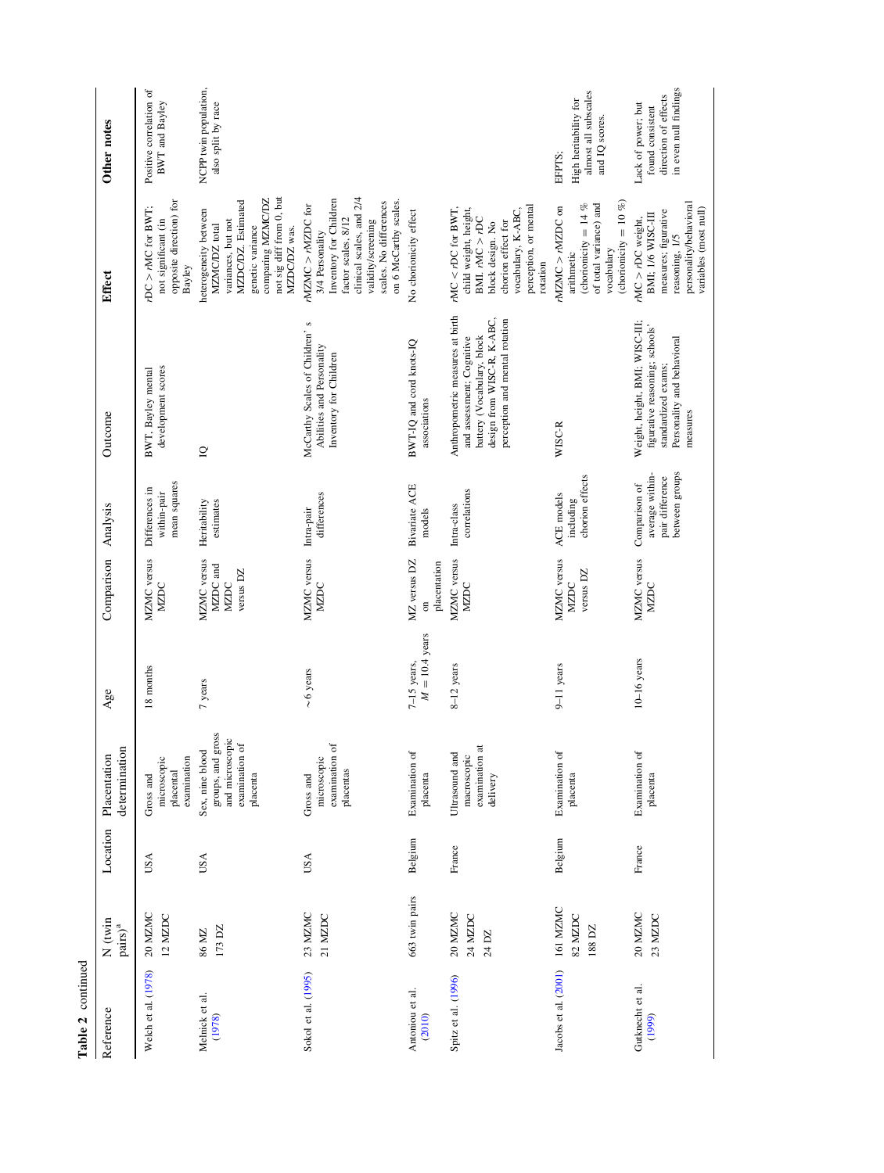| Table 2 continued          |                                           |          |                                                                                       |                                   |                                                          |                                                                       |                                                                                                                                                             |                                                                                                                                                                                              |                                                                                         |
|----------------------------|-------------------------------------------|----------|---------------------------------------------------------------------------------------|-----------------------------------|----------------------------------------------------------|-----------------------------------------------------------------------|-------------------------------------------------------------------------------------------------------------------------------------------------------------|----------------------------------------------------------------------------------------------------------------------------------------------------------------------------------------------|-----------------------------------------------------------------------------------------|
| Reference                  | $N$ (twin<br>$\mathrm{pairs})^\mathrm{a}$ | Location | determination<br>Placentation                                                         | Age                               | Comparison                                               | Analysis                                                              | Outcome                                                                                                                                                     | Effect                                                                                                                                                                                       | Other notes                                                                             |
| Welch et al. (1978)        | 20 MZMC<br>12 MZDC                        | USA      | examination<br>microscopic<br>placental<br>Gross and                                  | 18 months                         | MZMC versus<br><b>NZDC</b>                               | mean squares<br>Differences in<br>within-pair                         | development scores<br>BWT, Bayley mental                                                                                                                    | opposite direction) for<br>$rDC > rMC$ for BWT;<br>not significant (in<br>Bayley                                                                                                             | Positive correlation of<br><b>BWT</b> and Bayley                                        |
| Melnick et al.<br>(1978)   | 173 DZ<br>86 MZ                           | USA      | groups, and gross<br>and microscopic<br>examination of<br>Sex, nine blood<br>placenta | 7 years                           | MZMC versus<br>MZDC and<br>versus DZ<br>MZDC             | estimates<br>Heritability                                             | $\supseteq$                                                                                                                                                 | not sig diff from 0, but<br>comparing MZMC/DZ<br>MZDC/DZ. Estimated<br>heterogeneity between<br>variances, but not<br>genetic variance<br>MZMC/DZ total<br>MZDC/DZ was.                      | NCPP twin population,<br>also split by race                                             |
| Sokol et al. (1995)        | 23 MZMC<br>21 MZDC                        | USA      | examination of<br>microscopic<br>placentas<br>Gross and                               | $\sim$ 6 years                    | MZMC versus<br>MZDC                                      | differences<br>Intra-pair                                             | S<br>McCarthy Scales of Children'<br>Abilities and Personality<br>Inventory for Children                                                                    | clinical scales, and 2/4<br>Inventory for Children<br>on 6 McCarthy scales.<br>scales. No differences<br>$rNZMC > rNZDC$ for<br>factor scales, 8/12<br>validity/screening<br>3/4 Personality |                                                                                         |
| Antoniou et al.<br>(2010)  | 663 twin pairs                            | Belgium  | Examination of<br>placenta                                                            | $M = 10.4$ years<br>$7-15$ years, | MZ versus DZ<br>placentation<br>$\overline{\phantom{a}}$ | <b>Bivariate ACE</b><br>models                                        | BWT-IQ and cord knots-IQ<br>associations                                                                                                                    | No chorionicity effect                                                                                                                                                                       |                                                                                         |
| Spitz et al. (1996)        | 20 MZMC<br>24 MZDC<br>24 DZ               | France   | examination a<br>Ultrasound and<br>macroscopic<br>delivery                            | $8-12$ years                      | MZMC versus<br>MZDC                                      | correlations<br>Intra-class                                           | Anthropometric measures at birth<br>design from WISC-R, K-ABC,<br>perception and mental rotation<br>battery (Vocabulary, block<br>and assessment; Cognitive | perception, or mental<br>$rMC < rDC$ for BWT,<br>child weight, height,<br>vocabulary, K-ABC,<br>$BML$ , $rMC > rDC$<br>chorion effect for<br>block design. No<br>rotation                    |                                                                                         |
| Jacobs et al. (2001)       | 161 MZMC<br>82 MZDC<br>188 DZ             | Belgium  | Examination of<br>placenta                                                            | 9-11 years                        | MZMC versus<br>versus DZ<br>MZDC                         | chorion effects<br>ACE models<br>including                            | WISC-R                                                                                                                                                      | (chorionicity = $10\%$ )<br>of total variance) and<br>(chorionicity = $14\%$<br>$rNZMC > rNZDC$ on<br>vocabulary<br>arithmetic                                                               | almost all subscales<br>High heritability for<br>and IQ scores.<br>EFPTS;               |
| Gutknecht et al.<br>(1999) | 20 MZMC<br>23 MZDC                        | France   | Examination of<br>placenta                                                            | $10-16$ years                     | MZMC versus<br>MZDC                                      | average within-<br>between groups<br>pair difference<br>Comparison of | Weight, height, BMI; WISC-III;<br>figurative reasoning; schools'<br>Personality and behavioral<br>standardized exams;<br>measures                           | personality/behavioral<br>variables (most null)<br>measures; figurative<br>BMI; 1/6 WISC-III<br>$rMC > rDC$ weight,<br>reasoning, 1/5                                                        | in even null findings<br>direction of effects<br>Lack of power; but<br>found consistent |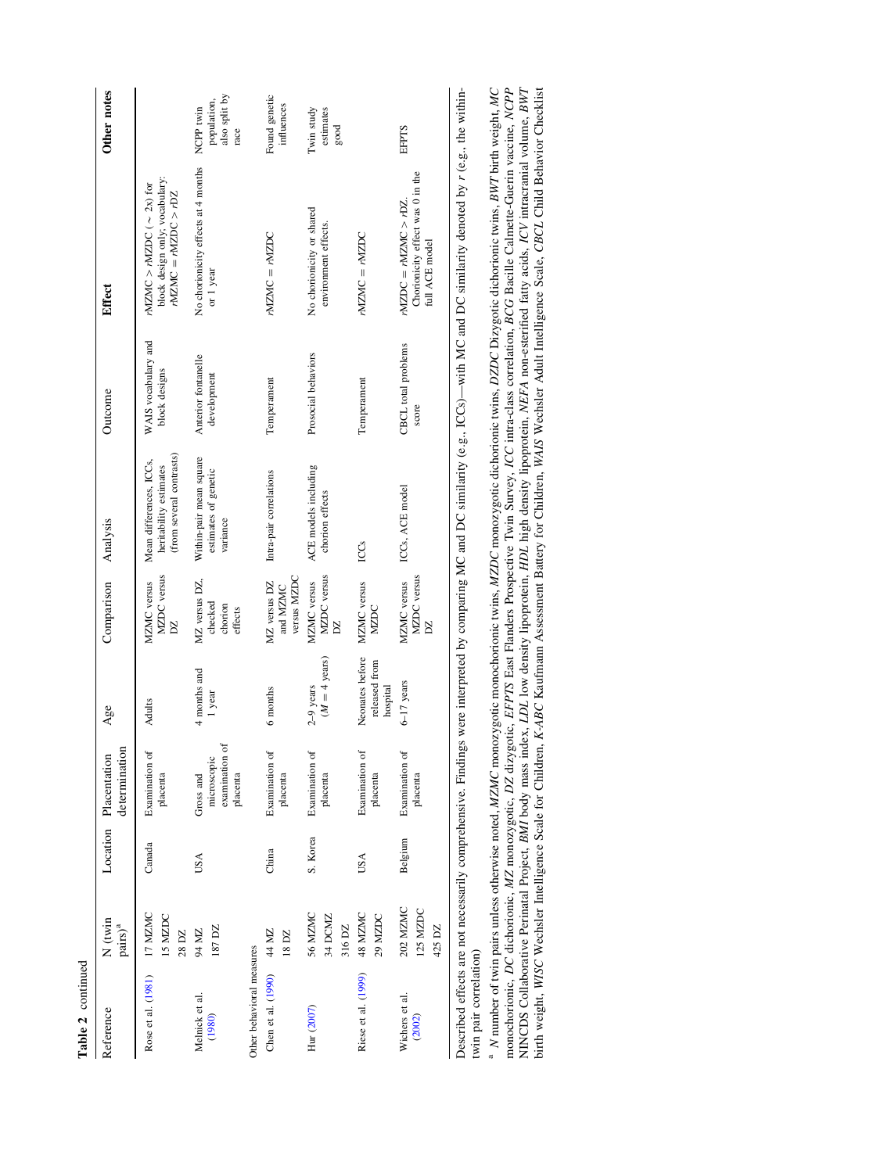| Table 2 continued          |                                           |          |                                                        |                                              |                                                |                                                                               |                                      |                                                                                         |                                                   |
|----------------------------|-------------------------------------------|----------|--------------------------------------------------------|----------------------------------------------|------------------------------------------------|-------------------------------------------------------------------------------|--------------------------------------|-----------------------------------------------------------------------------------------|---------------------------------------------------|
| Reference                  | $N$ (twin<br>$\mathrm{pairs})^\mathrm{a}$ |          | determination<br>Location Placentation                 | Age                                          | Comparison                                     | Analysis                                                                      | Outcome                              | $_{\rm Effect}$                                                                         | Other notes                                       |
| Rose et al. (1981) 17 MZMC | 15 MZDC<br>28 DZ                          | Canada   | Examination of<br>placenta                             | Adults                                       | MZDC versus<br>MZMC versus<br>$\sum$           | (from several contrasts)<br>Mean differences, ICCs,<br>heritability estimates | WAIS vocabulary and<br>block designs | block design only; vocabulary:<br>rNZMC > rNZDC $(\sim 2x)$ for<br>$MZMC = rNZDC > rDZ$ |                                                   |
| Melnick et al.<br>(1980)   | 187 DZ<br>94 MZ                           | USA      | examination or<br>microscopic<br>placenta<br>Gross and | 4 months and<br>1 year                       | MZ versus DZ,<br>checked<br>chorion<br>effects | Within-pair mean square<br>estimates of genetic<br>variance                   | Anterior fontanelle<br>development   | No chorionicity effects at 4 months<br>or 1 year                                        | also split by<br>population,<br>NCPP twin<br>race |
| Other behavioral measures  |                                           |          |                                                        |                                              |                                                |                                                                               |                                      |                                                                                         |                                                   |
| Chen et al. (1990)         | 44 MZ<br>18 DZ                            | China    | Examination of<br>placenta                             | 6 months                                     | versus MZDC<br>MZ versus DZ<br>and MZMC        | Intra-pair correlations                                                       | Temperament                          | $rNZMC = rNZDC$                                                                         | Found genetic<br>influences                       |
| Hur (2007)                 | 56 MZMC<br>34 DCMZ<br>316 DZ              | S. Korea | Examination of<br>placenta                             | $(M = 4$ years)<br>$2-9$ years               | MZDC versus<br>MZMC versus<br>Z                | ACE models including<br>chorion effects                                       | Prosocial behaviors                  | No chorionicity or shared<br>environment effects.                                       | Twin study<br>estimates<br>$_{\rm good}$          |
| Riese et al. (1999)        | 48 MZMC<br>29 MZDC                        | USA      | Examination of<br>placenta                             | Neonates before<br>released from<br>hospital | MZMC versus<br>MZDC                            | ICCS                                                                          | Temperament                          | $MZMC = rMZDC$                                                                          |                                                   |
| Wichers et al.<br>(2002)   | 202 MZMC<br>125 MZDC<br>425 DZ            | Belgium  | Examination of<br>placenta                             | 6-17 years                                   | MZDC versus<br>MZMC versus<br>$\sum$           | ICCs, ACE model                                                               | CBCL total problems<br>score         | Chorionicity effect was 0 in the<br>$rNZDC = rNZMC > rDZ$<br>full ACE model             | <b>EFPTS</b>                                      |
|                            |                                           |          |                                                        |                                              |                                                |                                                                               |                                      |                                                                                         |                                                   |

Described effects are not necessarily comprehensive. Findings were interpreted by comparing MC and DC similarity (e.g., ICCs)—with MC and DC similarity denoted by r (e.g., the within-Described effects are not necessarily comprehensive. Findings were interpreted by comparing MC and DC similarity (e.g., ICCs)—with MC and DC similarity denoted by r (e.g., the withintwin pair correlation) twin pair correlation)

monochorionic, DC dichorionic, MZ monozygotic, DZ dizygotic, EFPTS East Flanders Prospective Twin Survey, ICC intra-class correlation, BCG Bacille Calmette-Guerin vaccine, NCPP<br>NINCDS Collaborative Perinatal Project, BMI b <sup>a</sup> N number of twin pairs unless otherwise noted, MZMC monozygotic monochorionic twins, MZDC monozygotic dichorionic twins, DZDC Dizygotic dichorionic twins, BWT birth weight, MC <sup>a</sup> N number of twin pairs unless otherwise noted, *MZMC* monozygotic monochorionic twins, MZDC monozygotic dichorionic dichorionic twins, BWT birth weight, MC NINCDS Collaborative Perinatal Project, BMI body mass index, LDL low density lipoprotein, HDL high density lipoprotein, NEFA non-esterified fatty acids, ICV intracranial volume, BWT monochorionic, DC dichorionic, MZ monozygotic, DZ dizygotic, EFPTS East Flanders Prospective Twin Survey, ICC intra-class correlation, BCG Bacille Calmette-Guerin vaccine, NCPP birth weight, WISC Wechsler Intelligence Scale for Children, K-ABC Kaufmann Assessment Battery for Children, WAIS Wechsler Adult Intelligence Scale, CBCL Child Behavior Checklist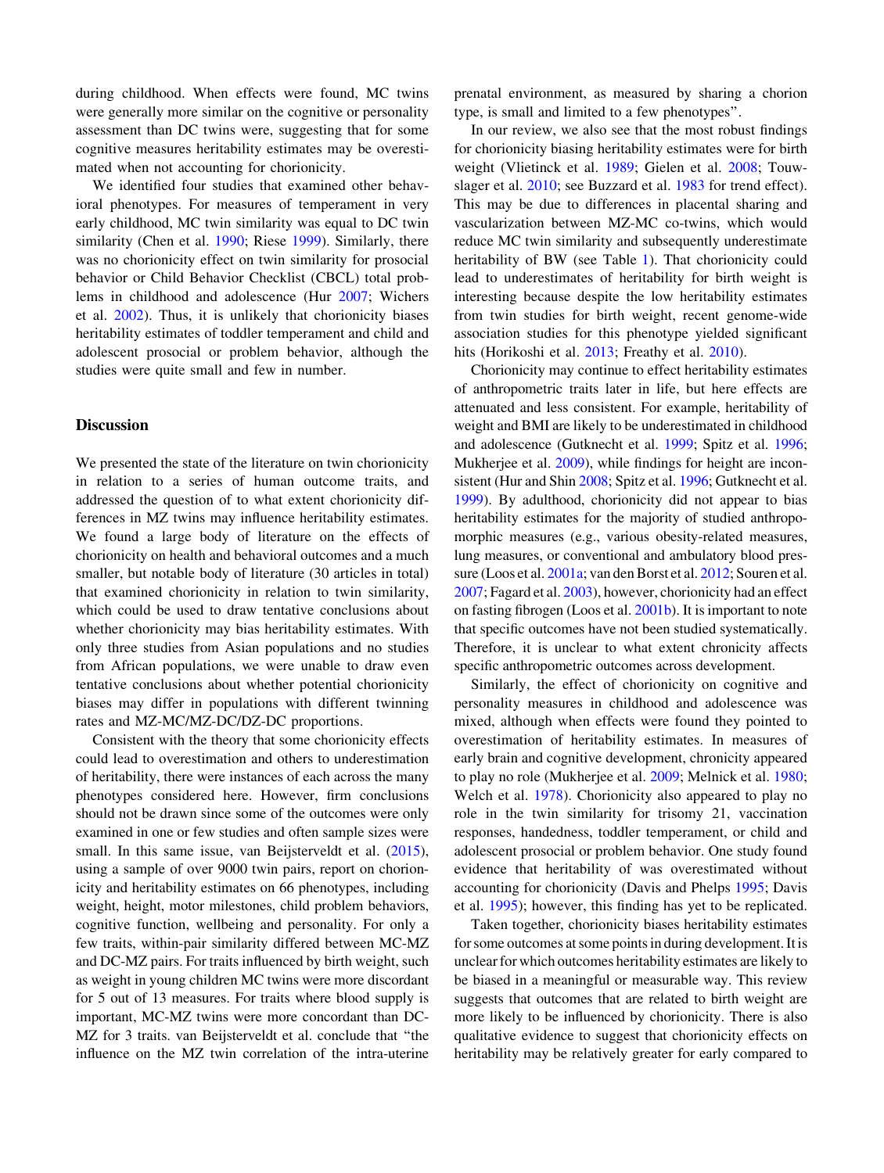during childhood. When effects were found, MC twins were generally more similar on the cognitive or personality assessment than DC twins were, suggesting that for some cognitive measures heritability estimates may be overestimated when not accounting for chorionicity.

We identified four studies that examined other behavioral phenotypes. For measures of temperament in very early childhood, MC twin similarity was equal to DC twin similarity (Chen et al. [1990;](#page-15-0) Riese [1999\)](#page-16-0). Similarly, there was no chorionicity effect on twin similarity for prosocial behavior or Child Behavior Checklist (CBCL) total problems in childhood and adolescence (Hur [2007](#page-15-0); Wichers et al. [2002\)](#page-17-0). Thus, it is unlikely that chorionicity biases heritability estimates of toddler temperament and child and adolescent prosocial or problem behavior, although the studies were quite small and few in number.

## **Discussion**

We presented the state of the literature on twin chorionicity in relation to a series of human outcome traits, and addressed the question of to what extent chorionicity differences in MZ twins may influence heritability estimates. We found a large body of literature on the effects of chorionicity on health and behavioral outcomes and a much smaller, but notable body of literature (30 articles in total) that examined chorionicity in relation to twin similarity, which could be used to draw tentative conclusions about whether chorionicity may bias heritability estimates. With only three studies from Asian populations and no studies from African populations, we were unable to draw even tentative conclusions about whether potential chorionicity biases may differ in populations with different twinning rates and MZ-MC/MZ-DC/DZ-DC proportions.

Consistent with the theory that some chorionicity effects could lead to overestimation and others to underestimation of heritability, there were instances of each across the many phenotypes considered here. However, firm conclusions should not be drawn since some of the outcomes were only examined in one or few studies and often sample sizes were small. In this same issue, van Beijsterveldt et al. ([2015](#page-17-0)), using a sample of over 9000 twin pairs, report on chorionicity and heritability estimates on 66 phenotypes, including weight, height, motor milestones, child problem behaviors, cognitive function, wellbeing and personality. For only a few traits, within-pair similarity differed between MC-MZ and DC-MZ pairs. For traits influenced by birth weight, such as weight in young children MC twins were more discordant for 5 out of 13 measures. For traits where blood supply is important, MC-MZ twins were more concordant than DC-MZ for 3 traits. van Beijsterveldt et al. conclude that ''the influence on the MZ twin correlation of the intra-uterine prenatal environment, as measured by sharing a chorion type, is small and limited to a few phenotypes''.

In our review, we also see that the most robust findings for chorionicity biasing heritability estimates were for birth weight (Vlietinck et al. [1989;](#page-17-0) Gielen et al. [2008;](#page-15-0) Touwslager et al. [2010](#page-17-0); see Buzzard et al. [1983](#page-15-0) for trend effect). This may be due to differences in placental sharing and vascularization between MZ-MC co-twins, which would reduce MC twin similarity and subsequently underestimate heritability of BW (see Table [1\)](#page-4-0). That chorionicity could lead to underestimates of heritability for birth weight is interesting because despite the low heritability estimates from twin studies for birth weight, recent genome-wide association studies for this phenotype yielded significant hits (Horikoshi et al. [2013](#page-15-0); Freathy et al. [2010\)](#page-15-0).

Chorionicity may continue to effect heritability estimates of anthropometric traits later in life, but here effects are attenuated and less consistent. For example, heritability of weight and BMI are likely to be underestimated in childhood and adolescence (Gutknecht et al. [1999](#page-15-0); Spitz et al. [1996](#page-16-0); Mukherjee et al. [2009](#page-16-0)), while findings for height are inconsistent (Hur and Shin [2008;](#page-15-0) Spitz et al. [1996;](#page-16-0) Gutknecht et al. [1999\)](#page-15-0). By adulthood, chorionicity did not appear to bias heritability estimates for the majority of studied anthropomorphic measures (e.g., various obesity-related measures, lung measures, or conventional and ambulatory blood pressure (Loos et al. [2001a;](#page-16-0) van den Borst et al. [2012;](#page-17-0) Souren et al. [2007;](#page-16-0) Fagard et al. [2003](#page-15-0)), however, chorionicity had an effect on fasting fibrogen (Loos et al. [2001b](#page-16-0)). It is important to note that specific outcomes have not been studied systematically. Therefore, it is unclear to what extent chronicity affects specific anthropometric outcomes across development.

Similarly, the effect of chorionicity on cognitive and personality measures in childhood and adolescence was mixed, although when effects were found they pointed to overestimation of heritability estimates. In measures of early brain and cognitive development, chronicity appeared to play no role (Mukherjee et al. [2009](#page-16-0); Melnick et al. [1980](#page-16-0); Welch et al. [1978\)](#page-17-0). Chorionicity also appeared to play no role in the twin similarity for trisomy 21, vaccination responses, handedness, toddler temperament, or child and adolescent prosocial or problem behavior. One study found evidence that heritability of was overestimated without accounting for chorionicity (Davis and Phelps [1995](#page-15-0); Davis et al. [1995](#page-15-0)); however, this finding has yet to be replicated.

Taken together, chorionicity biases heritability estimates for some outcomes at some points in during development. It is unclear for which outcomes heritability estimates are likely to be biased in a meaningful or measurable way. This review suggests that outcomes that are related to birth weight are more likely to be influenced by chorionicity. There is also qualitative evidence to suggest that chorionicity effects on heritability may be relatively greater for early compared to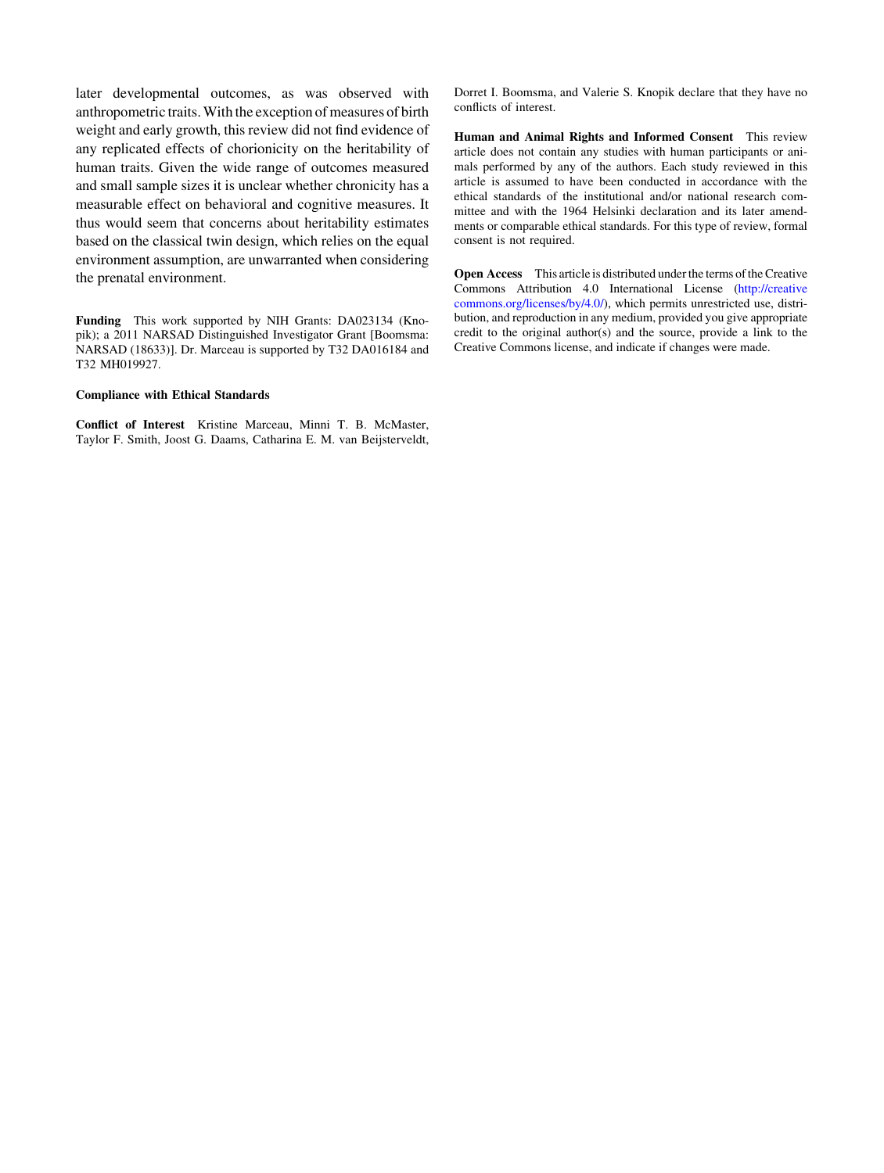later developmental outcomes, as was observed with anthropometric traits.With the exception of measures of birth weight and early growth, this review did not find evidence of any replicated effects of chorionicity on the heritability of human traits. Given the wide range of outcomes measured and small sample sizes it is unclear whether chronicity has a measurable effect on behavioral and cognitive measures. It thus would seem that concerns about heritability estimates based on the classical twin design, which relies on the equal environment assumption, are unwarranted when considering the prenatal environment.

Funding This work supported by NIH Grants: DA023134 (Knopik); a 2011 NARSAD Distinguished Investigator Grant [Boomsma: NARSAD (18633)]. Dr. Marceau is supported by T32 DA016184 and T32 MH019927.

#### Compliance with Ethical Standards

Conflict of Interest Kristine Marceau, Minni T. B. McMaster, Taylor F. Smith, Joost G. Daams, Catharina E. M. van Beijsterveldt, Dorret I. Boomsma, and Valerie S. Knopik declare that they have no conflicts of interest.

Human and Animal Rights and Informed Consent This review article does not contain any studies with human participants or animals performed by any of the authors. Each study reviewed in this article is assumed to have been conducted in accordance with the ethical standards of the institutional and/or national research committee and with the 1964 Helsinki declaration and its later amendments or comparable ethical standards. For this type of review, formal consent is not required.

Open Access This article is distributed under the terms of the Creative Commons Attribution 4.0 International License (http://creative commons.org/licenses/by/4.0/), which permits unrestricted use, distribution, and reproduction in any medium, provided you give appropriate credit to the original author(s) and the source, provide a link to the Creative Commons license, and indicate if changes were made.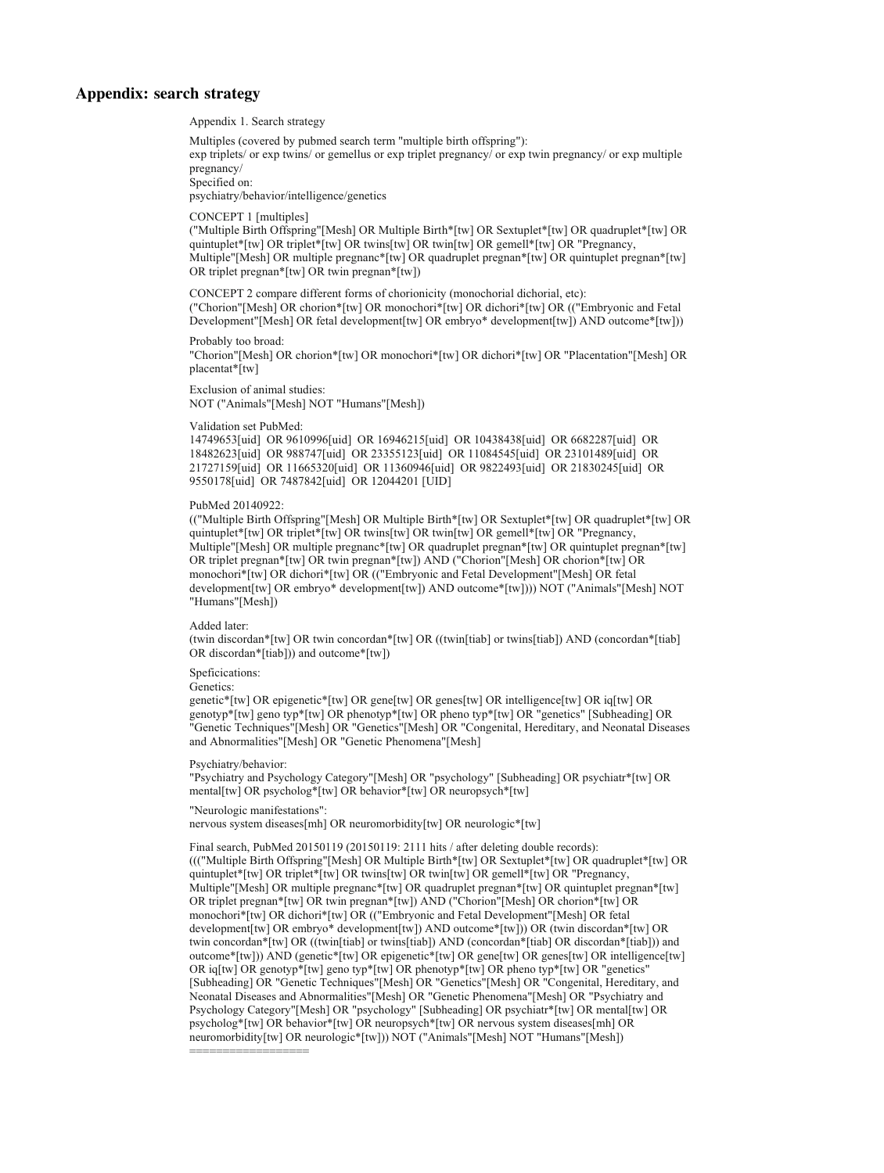#### <span id="page-13-0"></span>Appendix: search strategy

Appendix 1. Search strategy

Multiples (covered by pubmed search term "multiple birth offspring"):

exp triplets/ or exp twins/ or gemellus or exp triplet pregnancy/ or exp twin pregnancy/ or exp multiple pregnancy/

Specified on:

psychiatry/behavior/intelligence/genetics

CONCEPT 1 [multiples]

("Multiple Birth Offspring"[Mesh] OR Multiple Birth\*[tw] OR Sextuplet\*[tw] OR quadruplet\*[tw] OR quintuplet\*[tw] OR triplet\*[tw] OR twins[tw] OR twin[tw] OR gemell\*[tw] OR "Pregnancy, Multiple"[Mesh] OR multiple pregnanc\*[tw] OR quadruplet pregnan\*[tw] OR quintuplet pregnan\*[tw] OR triplet pregnan\*[tw] OR twin pregnan\*[tw])

CONCEPT 2 compare different forms of chorionicity (monochorial dichorial, etc): ("Chorion"[Mesh] OR chorion\*[tw] OR monochori\*[tw] OR dichori\*[tw] OR (("Embryonic and Fetal Development"[Mesh] OR fetal development[tw] OR embryo\* development[tw]) AND outcome\*[tw]))

Probably too broad: "Chorion"[Mesh] OR chorion\*[tw] OR monochori\*[tw] OR dichori\*[tw] OR "Placentation"[Mesh] OR placentat\*[tw]

Exclusion of animal studies: NOT ("Animals"[Mesh] NOT "Humans"[Mesh])

Validation set PubMed:

14749653[uid] OR 9610996[uid] OR 16946215[uid] OR 10438438[uid] OR 6682287[uid] OR 18482623[uid] OR 988747[uid] OR 23355123[uid] OR 11084545[uid] OR 23101489[uid] OR 21727159[uid] OR 11665320[uid] OR 11360946[uid] OR 9822493[uid] OR 21830245[uid] OR 9550178[uid] OR 7487842[uid] OR 12044201 [UID]

#### PubMed 20140922:

(("Multiple Birth Offspring"[Mesh] OR Multiple Birth\*[tw] OR Sextuplet\*[tw] OR quadruplet\*[tw] OR quintuplet\*[tw] OR triplet\*[tw] OR twins[tw] OR twin[tw] OR gemell\*[tw] OR "Pregnancy, Multiple"[Mesh] OR multiple pregnanc\*[tw] OR quadruplet pregnan\*[tw] OR quintuplet pregnan\*[tw] OR triplet pregnan\*[tw] OR twin pregnan\*[tw]) AND ("Chorion"[Mesh] OR chorion\*[tw] OR monochori\*[tw] OR dichori\*[tw] OR (("Embryonic and Fetal Development"[Mesh] OR fetal development[tw] OR embryo\* development[tw]) AND outcome\*[tw]))) NOT ("Animals"[Mesh] NOT "Humans"[Mesh])

Added later:

(twin discordan\*[tw] OR twin concordan\*[tw] OR ((twin[tiab] or twins[tiab]) AND (concordan\*[tiab] OR discordan\*[tiab])) and outcome\*[tw])

#### Speficications:

Genetics:

genetic\*[tw] OR epigenetic\*[tw] OR gene[tw] OR genes[tw] OR intelligence[tw] OR iq[tw] OR genotyp\*[tw] geno typ\*[tw] OR phenotyp\*[tw] OR pheno typ\*[tw] OR "genetics" [Subheading] OR "Genetic Techniques"[Mesh] OR "Genetics"[Mesh] OR "Congenital, Hereditary, and Neonatal Diseases and Abnormalities"[Mesh] OR "Genetic Phenomena"[Mesh]

Psychiatry/behavior:

"Psychiatry and Psychology Category"[Mesh] OR "psychology" [Subheading] OR psychiatr\*[tw] OR mental[tw] OR psycholog\*[tw] OR behavior\*[tw] OR neuropsych\*[tw]

#### "Neurologic manifestations":

nervous system diseases[mh] OR neuromorbidity[tw] OR neurologic\*[tw]

Final search, PubMed 20150119 (20150119: 2111 hits / after deleting double records): ((("Multiple Birth Offspring"[Mesh] OR Multiple Birth\*[tw] OR Sextuplet\*[tw] OR quadruplet\*[tw] OR quintuplet\*[tw] OR triplet\*[tw] OR twins[tw] OR twin[tw] OR gemell\*[tw] OR "Pregnancy, Multiple"[Mesh] OR multiple pregnanc\*[tw] OR quadruplet pregnan\*[tw] OR quintuplet pregnan\*[tw] OR triplet pregnan\*[tw] OR twin pregnan\*[tw]) AND ("Chorion"[Mesh] OR chorion\*[tw] OR monochori\*[tw] OR dichori\*[tw] OR (("Embryonic and Fetal Development"[Mesh] OR fetal development[tw] OR embryo\* development[tw]) AND outcome\*[tw])) OR (twin discordan\*[tw] OR twin concordan\*[tw] OR ((twin[tiab] or twins[tiab]) AND (concordan\*[tiab] OR discordan\*[tiab])) and outcome\*[tw])) AND (genetic\*[tw] OR epigenetic\*[tw] OR gene[tw] OR genes[tw] OR intelligence[tw] OR iq[tw] OR genotyp\*[tw] geno typ\*[tw] OR phenotyp\*[tw] OR pheno typ\*[tw] OR "genetics" [Subheading] OR "Genetic Techniques"[Mesh] OR "Genetics"[Mesh] OR "Congenital, Hereditary, and Neonatal Diseases and Abnormalities"[Mesh] OR "Genetic Phenomena"[Mesh] OR "Psychiatry and Psychology Category"[Mesh] OR "psychology" [Subheading] OR psychiatr\*[tw] OR mental[tw] OR psycholog\*[tw] OR behavior\*[tw] OR neuropsych\*[tw] OR nervous system diseases[mh] OR neuromorbidity[tw] OR neurologic\*[tw])) NOT ("Animals"[Mesh] NOT "Humans"[Mesh]) ==================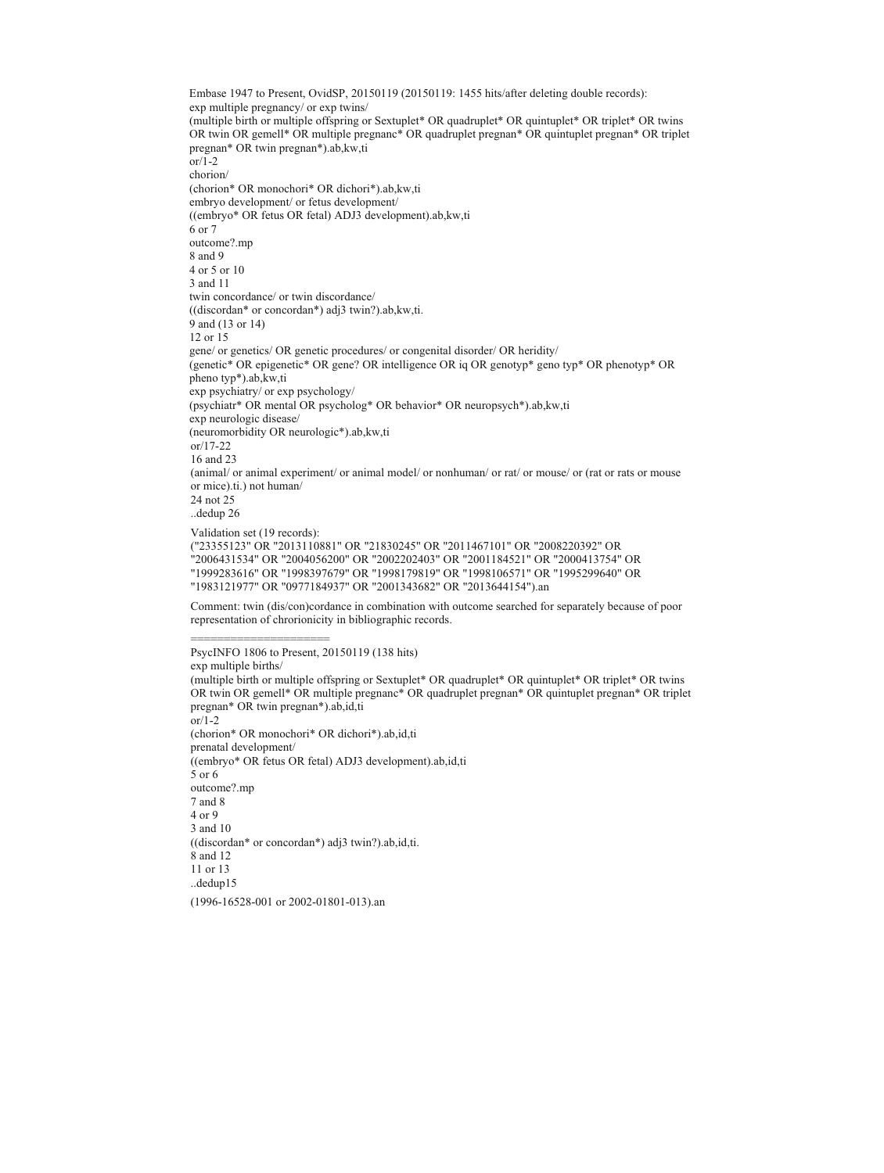Embase 1947 to Present, OvidSP, 20150119 (20150119: 1455 hits/after deleting double records): exp multiple pregnancy/ or exp twins/ (multiple birth or multiple offspring or Sextuplet\* OR quadruplet\* OR quintuplet\* OR triplet\* OR twins OR twin OR gemell\* OR multiple pregnanc\* OR quadruplet pregnan\* OR quintuplet pregnan\* OR triplet pregnan\* OR twin pregnan\*).ab,kw,ti or/1-2 chorion/ (chorion\* OR monochori\* OR dichori\*).ab,kw,ti embryo development/ or fetus development/ ((embryo\* OR fetus OR fetal) ADJ3 development).ab,kw,ti 6 or 7 outcome?.mp 8 and 9 4 or 5 or 10 3 and 11 twin concordance/ or twin discordance/ ((discordan\* or concordan\*) adj3 twin?).ab,kw,ti. 9 and (13 or 14) 12 or 15 gene/ or genetics/ OR genetic procedures/ or congenital disorder/ OR heridity/ (genetic\* OR epigenetic\* OR gene? OR intelligence OR iq OR genotyp\* geno typ\* OR phenotyp\* OR pheno typ\*).ab,kw,ti exp psychiatry/ or exp psychology/ (psychiatr\* OR mental OR psycholog\* OR behavior\* OR neuropsych\*).ab,kw,ti exp neurologic disease/ (neuromorbidity OR neurologic\*).ab,kw,ti or/17-22 16 and 23 (animal/ or animal experiment/ or animal model/ or nonhuman/ or rat/ or mouse/ or (rat or rats or mouse or mice).ti.) not human/ 24 not 25 ..dedup 26 Validation set (19 records): ("23355123" OR "2013110881" OR "21830245" OR "2011467101" OR "2008220392" OR "2006431534" OR "2004056200" OR "2002202403" OR "2001184521" OR "2000413754" OR "1999283616" OR "1998397679" OR "1998179819" OR "1998106571" OR "1995299640" OR

"1983121977" OR "0977184937" OR "2001343682" OR "2013644154").an

Comment: twin (dis/con)cordance in combination with outcome searched for separately because of poor representation of chrorionicity in bibliographic records.

PsycINFO 1806 to Present, 20150119 (138 hits)

exp multiple births/

========================

(multiple birth or multiple offspring or Sextuplet\* OR quadruplet\* OR quintuplet\* OR triplet\* OR twins OR twin OR gemell\* OR multiple pregnanc\* OR quadruplet pregnan\* OR quintuplet pregnan\* OR triplet pregnan\* OR twin pregnan\*).ab,id,ti

 $\overline{\text{or}}$ /1-2 (chorion\* OR monochori\* OR dichori\*).ab,id,ti prenatal development/ ((embryo\* OR fetus OR fetal) ADJ3 development).ab,id,ti 5 or 6 outcome?.mp 7 and 8 4 or 9 3 and 10 ((discordan\* or concordan\*) adj3 twin?).ab,id,ti. 8 and 12 11 or 13 ..dedup15 (1996-16528-001 or 2002-01801-013).an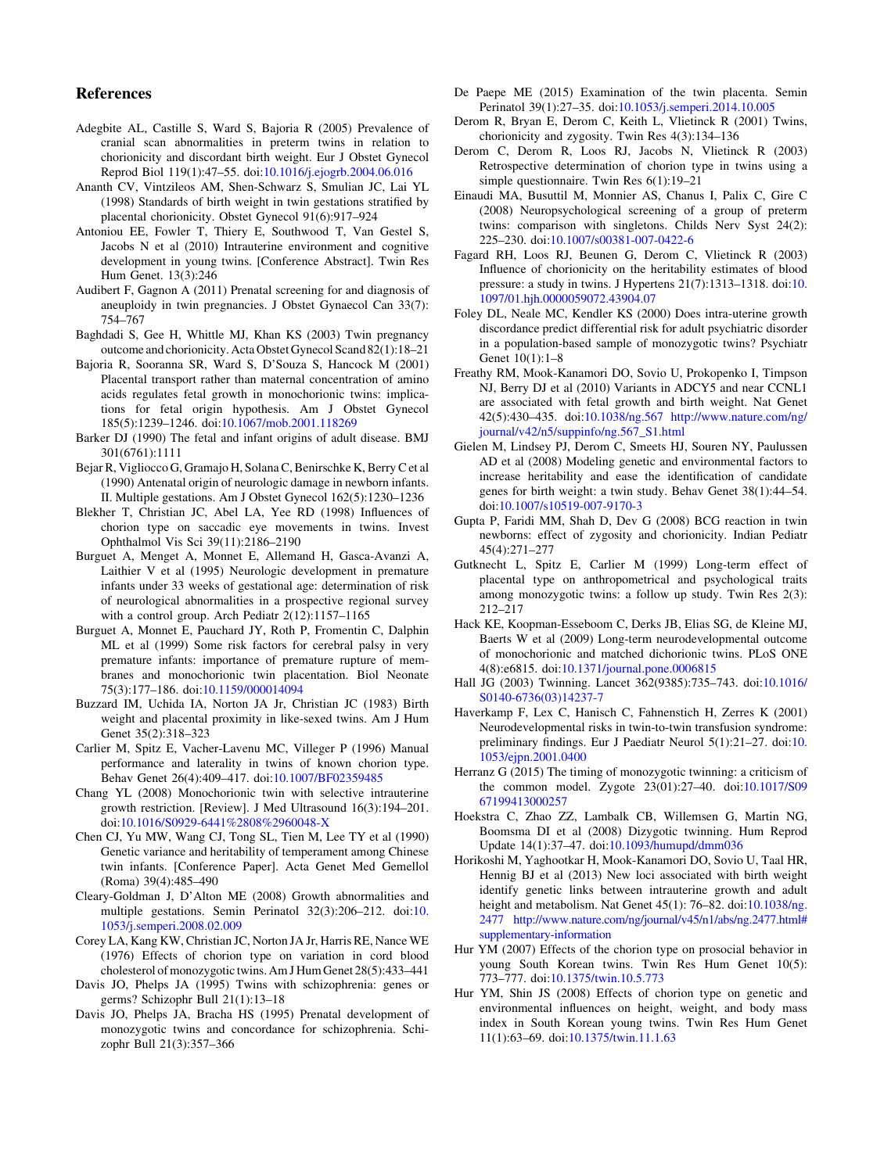#### <span id="page-15-0"></span>References

- Adegbite AL, Castille S, Ward S, Bajoria R (2005) Prevalence of cranial scan abnormalities in preterm twins in relation to chorionicity and discordant birth weight. Eur J Obstet Gynecol Reprod Biol 119(1):47–55. doi:10.1016/j.ejogrb.2004.06.016
- Ananth CV, Vintzileos AM, Shen-Schwarz S, Smulian JC, Lai YL (1998) Standards of birth weight in twin gestations stratified by placental chorionicity. Obstet Gynecol 91(6):917–924
- Antoniou EE, Fowler T, Thiery E, Southwood T, Van Gestel S, Jacobs N et al (2010) Intrauterine environment and cognitive development in young twins. [Conference Abstract]. Twin Res Hum Genet. 13(3):246
- Audibert F, Gagnon A (2011) Prenatal screening for and diagnosis of aneuploidy in twin pregnancies. J Obstet Gynaecol Can 33(7): 754–767
- Baghdadi S, Gee H, Whittle MJ, Khan KS (2003) Twin pregnancy outcome and chorionicity. Acta Obstet Gynecol Scand 82(1):18–21
- Bajoria R, Sooranna SR, Ward S, D'Souza S, Hancock M (2001) Placental transport rather than maternal concentration of amino acids regulates fetal growth in monochorionic twins: implications for fetal origin hypothesis. Am J Obstet Gynecol 185(5):1239–1246. doi:10.1067/mob.2001.118269
- Barker DJ (1990) The fetal and infant origins of adult disease. BMJ 301(6761):1111
- Bejar R, Vigliocco G, Gramajo H, Solana C, Benirschke K, Berry C et al (1990) Antenatal origin of neurologic damage in newborn infants. II. Multiple gestations. Am J Obstet Gynecol 162(5):1230–1236
- Blekher T, Christian JC, Abel LA, Yee RD (1998) Influences of chorion type on saccadic eye movements in twins. Invest Ophthalmol Vis Sci 39(11):2186–2190
- Burguet A, Menget A, Monnet E, Allemand H, Gasca-Avanzi A, Laithier V et al (1995) Neurologic development in premature infants under 33 weeks of gestational age: determination of risk of neurological abnormalities in a prospective regional survey with a control group. Arch Pediatr 2(12):1157–1165
- Burguet A, Monnet E, Pauchard JY, Roth P, Fromentin C, Dalphin ML et al (1999) Some risk factors for cerebral palsy in very premature infants: importance of premature rupture of membranes and monochorionic twin placentation. Biol Neonate 75(3):177–186. doi:10.1159/000014094
- Buzzard IM, Uchida IA, Norton JA Jr, Christian JC (1983) Birth weight and placental proximity in like-sexed twins. Am J Hum Genet 35(2):318–323
- Carlier M, Spitz E, Vacher-Lavenu MC, Villeger P (1996) Manual performance and laterality in twins of known chorion type. Behav Genet 26(4):409–417. doi:10.1007/BF02359485
- Chang YL (2008) Monochorionic twin with selective intrauterine growth restriction. [Review]. J Med Ultrasound 16(3):194–201. doi:10.1016/S0929-6441%2808%2960048-X
- Chen CJ, Yu MW, Wang CJ, Tong SL, Tien M, Lee TY et al (1990) Genetic variance and heritability of temperament among Chinese twin infants. [Conference Paper]. Acta Genet Med Gemellol (Roma) 39(4):485–490
- Cleary-Goldman J, D'Alton ME (2008) Growth abnormalities and multiple gestations. Semin Perinatol 32(3):206–212. doi:10. 1053/j.semperi.2008.02.009
- Corey LA, Kang KW, Christian JC, Norton JA Jr, Harris RE, Nance WE (1976) Effects of chorion type on variation in cord blood cholesterol of monozygotictwins. Am J Hum Genet 28(5):433–441
- Davis JO, Phelps JA (1995) Twins with schizophrenia: genes or germs? Schizophr Bull 21(1):13–18
- Davis JO, Phelps JA, Bracha HS (1995) Prenatal development of monozygotic twins and concordance for schizophrenia. Schizophr Bull 21(3):357–366
- De Paepe ME (2015) Examination of the twin placenta. Semin Perinatol 39(1):27–35. doi:10.1053/j.semperi.2014.10.005
- Derom R, Bryan E, Derom C, Keith L, Vlietinck R (2001) Twins, chorionicity and zygosity. Twin Res 4(3):134–136
- Derom C, Derom R, Loos RJ, Jacobs N, Vlietinck R (2003) Retrospective determination of chorion type in twins using a simple questionnaire. Twin Res 6(1):19–21
- Einaudi MA, Busuttil M, Monnier AS, Chanus I, Palix C, Gire C (2008) Neuropsychological screening of a group of preterm twins: comparison with singletons. Childs Nerv Syst 24(2): 225–230. doi:10.1007/s00381-007-0422-6
- Fagard RH, Loos RJ, Beunen G, Derom C, Vlietinck R (2003) Influence of chorionicity on the heritability estimates of blood pressure: a study in twins. J Hypertens 21(7):1313–1318. doi:10. 1097/01.hjh.0000059072.43904.07
- Foley DL, Neale MC, Kendler KS (2000) Does intra-uterine growth discordance predict differential risk for adult psychiatric disorder in a population-based sample of monozygotic twins? Psychiatr Genet 10(1):1–8
- Freathy RM, Mook-Kanamori DO, Sovio U, Prokopenko I, Timpson NJ, Berry DJ et al (2010) Variants in ADCY5 and near CCNL1 are associated with fetal growth and birth weight. Nat Genet 42(5):430–435. doi:10.1038/ng.567 http://www.nature.com/ng/ journal/v42/n5/suppinfo/ng.567\_S1.html
- Gielen M, Lindsey PJ, Derom C, Smeets HJ, Souren NY, Paulussen AD et al (2008) Modeling genetic and environmental factors to increase heritability and ease the identification of candidate genes for birth weight: a twin study. Behav Genet 38(1):44–54. doi:10.1007/s10519-007-9170-3
- Gupta P, Faridi MM, Shah D, Dev G (2008) BCG reaction in twin newborns: effect of zygosity and chorionicity. Indian Pediatr 45(4):271–277
- Gutknecht L, Spitz E, Carlier M (1999) Long-term effect of placental type on anthropometrical and psychological traits among monozygotic twins: a follow up study. Twin Res 2(3): 212–217
- Hack KE, Koopman-Esseboom C, Derks JB, Elias SG, de Kleine MJ, Baerts W et al (2009) Long-term neurodevelopmental outcome of monochorionic and matched dichorionic twins. PLoS ONE 4(8):e6815. doi:10.1371/journal.pone.0006815
- Hall JG (2003) Twinning. Lancet 362(9385):735–743. doi:10.1016/ S0140-6736(03)14237-7
- Haverkamp F, Lex C, Hanisch C, Fahnenstich H, Zerres K (2001) Neurodevelopmental risks in twin-to-twin transfusion syndrome: preliminary findings. Eur J Paediatr Neurol 5(1):21–27. doi:10. 1053/ejpn.2001.0400
- Herranz G (2015) The timing of monozygotic twinning: a criticism of the common model. Zygote 23(01):27–40. doi:10.1017/S09 67199413000257
- Hoekstra C, Zhao ZZ, Lambalk CB, Willemsen G, Martin NG, Boomsma DI et al (2008) Dizygotic twinning. Hum Reprod Update 14(1):37–47. doi:10.1093/humupd/dmm036
- Horikoshi M, Yaghootkar H, Mook-Kanamori DO, Sovio U, Taal HR, Hennig BJ et al (2013) New loci associated with birth weight identify genetic links between intrauterine growth and adult height and metabolism. Nat Genet 45(1): 76-82. doi:10.1038/ng. 2477 http://www.nature.com/ng/journal/v45/n1/abs/ng.2477.html# supplementary-information
- Hur YM (2007) Effects of the chorion type on prosocial behavior in young South Korean twins. Twin Res Hum Genet 10(5): 773–777. doi:10.1375/twin.10.5.773
- Hur YM, Shin JS (2008) Effects of chorion type on genetic and environmental influences on height, weight, and body mass index in South Korean young twins. Twin Res Hum Genet 11(1):63–69. doi:10.1375/twin.11.1.63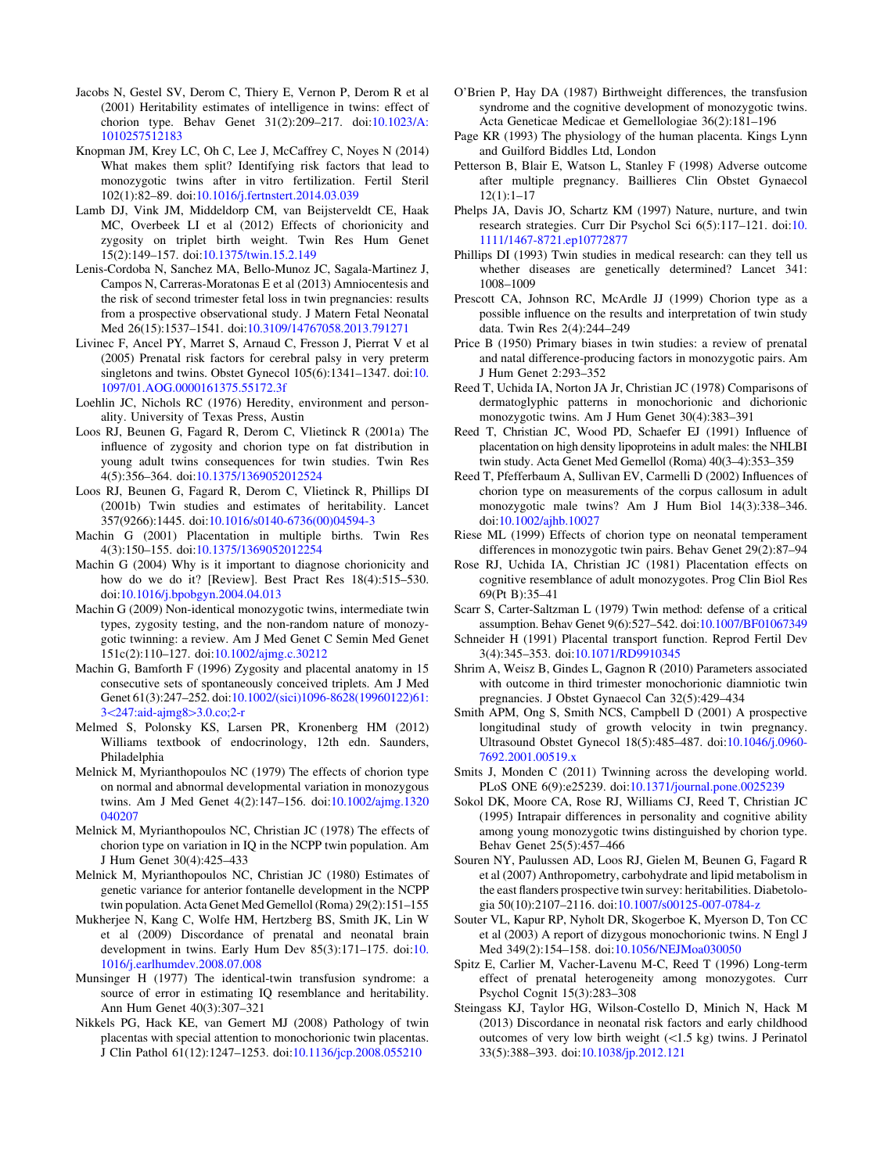- <span id="page-16-0"></span>Jacobs N, Gestel SV, Derom C, Thiery E, Vernon P, Derom R et al (2001) Heritability estimates of intelligence in twins: effect of chorion type. Behav Genet 31(2):209–217. doi:10.1023/A: 1010257512183
- Knopman JM, Krey LC, Oh C, Lee J, McCaffrey C, Noyes N (2014) What makes them split? Identifying risk factors that lead to monozygotic twins after in vitro fertilization. Fertil Steril 102(1):82–89. doi:10.1016/j.fertnstert.2014.03.039
- Lamb DJ, Vink JM, Middeldorp CM, van Beijsterveldt CE, Haak MC, Overbeek LI et al (2012) Effects of chorionicity and zygosity on triplet birth weight. Twin Res Hum Genet 15(2):149–157. doi:10.1375/twin.15.2.149
- Lenis-Cordoba N, Sanchez MA, Bello-Munoz JC, Sagala-Martinez J, Campos N, Carreras-Moratonas E et al (2013) Amniocentesis and the risk of second trimester fetal loss in twin pregnancies: results from a prospective observational study. J Matern Fetal Neonatal Med 26(15):1537–1541. doi:10.3109/14767058.2013.791271
- Livinec F, Ancel PY, Marret S, Arnaud C, Fresson J, Pierrat V et al (2005) Prenatal risk factors for cerebral palsy in very preterm singletons and twins. Obstet Gynecol 105(6):1341–1347. doi:10. 1097/01.AOG.0000161375.55172.3f
- Loehlin JC, Nichols RC (1976) Heredity, environment and personality. University of Texas Press, Austin
- Loos RJ, Beunen G, Fagard R, Derom C, Vlietinck R (2001a) The influence of zygosity and chorion type on fat distribution in young adult twins consequences for twin studies. Twin Res 4(5):356–364. doi:10.1375/1369052012524
- Loos RJ, Beunen G, Fagard R, Derom C, Vlietinck R, Phillips DI (2001b) Twin studies and estimates of heritability. Lancet 357(9266):1445. doi:10.1016/s0140-6736(00)04594-3
- Machin G (2001) Placentation in multiple births. Twin Res 4(3):150–155. doi:10.1375/1369052012254
- Machin G (2004) Why is it important to diagnose chorionicity and how do we do it? [Review]. Best Pract Res 18(4):515–530. doi:10.1016/j.bpobgyn.2004.04.013
- Machin G (2009) Non-identical monozygotic twins, intermediate twin types, zygosity testing, and the non-random nature of monozygotic twinning: a review. Am J Med Genet C Semin Med Genet 151c(2):110–127. doi:10.1002/ajmg.c.30212
- Machin G, Bamforth F (1996) Zygosity and placental anatomy in 15 consecutive sets of spontaneously conceived triplets. Am J Med Genet 61(3):247–252. doi:10.1002/(sici)1096-8628(19960122)61: 3<247:aid-ajmg8>3.0.co;2-r
- Melmed S, Polonsky KS, Larsen PR, Kronenberg HM (2012) Williams textbook of endocrinology, 12th edn. Saunders, Philadelphia
- Melnick M, Myrianthopoulos NC (1979) The effects of chorion type on normal and abnormal developmental variation in monozygous twins. Am J Med Genet 4(2):147–156. doi:10.1002/ajmg.1320 040207
- Melnick M, Myrianthopoulos NC, Christian JC (1978) The effects of chorion type on variation in IQ in the NCPP twin population. Am J Hum Genet 30(4):425–433
- Melnick M, Myrianthopoulos NC, Christian JC (1980) Estimates of genetic variance for anterior fontanelle development in the NCPP twin population. Acta Genet Med Gemellol (Roma) 29(2):151–155
- Mukherjee N, Kang C, Wolfe HM, Hertzberg BS, Smith JK, Lin W et al (2009) Discordance of prenatal and neonatal brain development in twins. Early Hum Dev 85(3):171–175. doi:10. 1016/j.earlhumdev.2008.07.008
- Munsinger H (1977) The identical-twin transfusion syndrome: a source of error in estimating IQ resemblance and heritability. Ann Hum Genet 40(3):307–321
- Nikkels PG, Hack KE, van Gemert MJ (2008) Pathology of twin placentas with special attention to monochorionic twin placentas. J Clin Pathol 61(12):1247–1253. doi:10.1136/jcp.2008.055210
- O'Brien P, Hay DA (1987) Birthweight differences, the transfusion syndrome and the cognitive development of monozygotic twins. Acta Geneticae Medicae et Gemellologiae 36(2):181–196
- Page KR (1993) The physiology of the human placenta. Kings Lynn and Guilford Biddles Ltd, London
- Petterson B, Blair E, Watson L, Stanley F (1998) Adverse outcome after multiple pregnancy. Baillieres Clin Obstet Gynaecol 12(1):1–17
- Phelps JA, Davis JO, Schartz KM (1997) Nature, nurture, and twin research strategies. Curr Dir Psychol Sci 6(5):117–121. doi:10. 1111/1467-8721.ep10772877
- Phillips DI (1993) Twin studies in medical research: can they tell us whether diseases are genetically determined? Lancet 341: 1008–1009
- Prescott CA, Johnson RC, McArdle JJ (1999) Chorion type as a possible influence on the results and interpretation of twin study data. Twin Res 2(4):244–249
- Price B (1950) Primary biases in twin studies: a review of prenatal and natal difference-producing factors in monozygotic pairs. Am J Hum Genet 2:293–352
- Reed T, Uchida IA, Norton JA Jr, Christian JC (1978) Comparisons of dermatoglyphic patterns in monochorionic and dichorionic monozygotic twins. Am J Hum Genet 30(4):383–391
- Reed T, Christian JC, Wood PD, Schaefer EJ (1991) Influence of placentation on high density lipoproteins in adult males: the NHLBI twin study. Acta Genet Med Gemellol (Roma) 40(3–4):353–359
- Reed T, Pfefferbaum A, Sullivan EV, Carmelli D (2002) Influences of chorion type on measurements of the corpus callosum in adult monozygotic male twins? Am J Hum Biol 14(3):338–346. doi:10.1002/ajhb.10027
- Riese ML (1999) Effects of chorion type on neonatal temperament differences in monozygotic twin pairs. Behav Genet 29(2):87–94
- Rose RJ, Uchida IA, Christian JC (1981) Placentation effects on cognitive resemblance of adult monozygotes. Prog Clin Biol Res 69(Pt B):35–41
- Scarr S, Carter-Saltzman L (1979) Twin method: defense of a critical assumption. Behav Genet 9(6):527–542. doi:10.1007/BF01067349
- Schneider H (1991) Placental transport function. Reprod Fertil Dev 3(4):345–353. doi:10.1071/RD9910345
- Shrim A, Weisz B, Gindes L, Gagnon R (2010) Parameters associated with outcome in third trimester monochorionic diamniotic twin pregnancies. J Obstet Gynaecol Can 32(5):429–434
- Smith APM, Ong S, Smith NCS, Campbell D (2001) A prospective longitudinal study of growth velocity in twin pregnancy. Ultrasound Obstet Gynecol 18(5):485–487. doi:10.1046/j.0960- 7692.2001.00519.x
- Smits J, Monden C (2011) Twinning across the developing world. PLoS ONE 6(9):e25239. doi:10.1371/journal.pone.0025239
- Sokol DK, Moore CA, Rose RJ, Williams CJ, Reed T, Christian JC (1995) Intrapair differences in personality and cognitive ability among young monozygotic twins distinguished by chorion type. Behav Genet 25(5):457–466
- Souren NY, Paulussen AD, Loos RJ, Gielen M, Beunen G, Fagard R et al (2007) Anthropometry, carbohydrate and lipid metabolism in the east flanders prospective twin survey: heritabilities. Diabetologia 50(10):2107–2116. doi:10.1007/s00125-007-0784-z
- Souter VL, Kapur RP, Nyholt DR, Skogerboe K, Myerson D, Ton CC et al (2003) A report of dizygous monochorionic twins. N Engl J Med 349(2):154–158. doi:10.1056/NEJMoa030050
- Spitz E, Carlier M, Vacher-Lavenu M-C, Reed T (1996) Long-term effect of prenatal heterogeneity among monozygotes. Curr Psychol Cognit 15(3):283–308
- Steingass KJ, Taylor HG, Wilson-Costello D, Minich N, Hack M (2013) Discordance in neonatal risk factors and early childhood outcomes of very low birth weight  $(\leq 1.5 \text{ kg})$  twins. J Perinatol 33(5):388–393. doi:10.1038/jp.2012.121